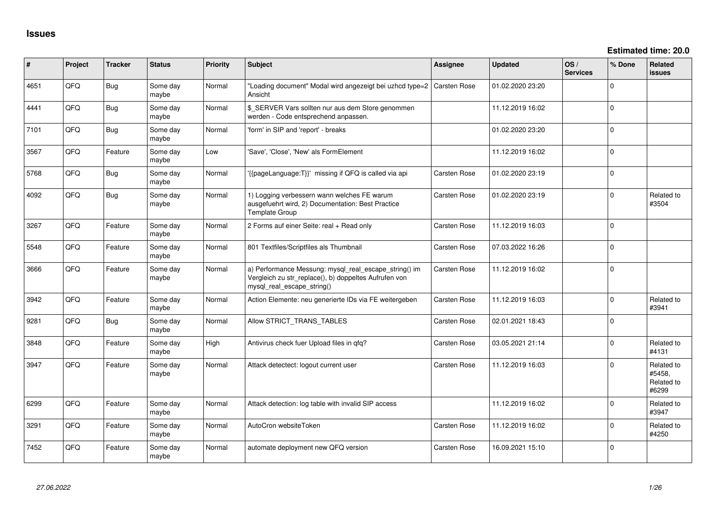| ∦    | Project | <b>Tracker</b> | <b>Status</b>     | <b>Priority</b> | <b>Subject</b>                                                                                                                               | <b>Assignee</b>     | <b>Updated</b>   | OS/<br><b>Services</b> | % Done         | <b>Related</b><br>issues                    |
|------|---------|----------------|-------------------|-----------------|----------------------------------------------------------------------------------------------------------------------------------------------|---------------------|------------------|------------------------|----------------|---------------------------------------------|
| 4651 | QFQ     | Bug            | Some day<br>maybe | Normal          | "Loading document" Modal wird angezeigt bei uzhcd type=2<br>Ansicht                                                                          | <b>Carsten Rose</b> | 01.02.2020 23:20 |                        | $\Omega$       |                                             |
| 4441 | QFQ     | <b>Bug</b>     | Some day<br>maybe | Normal          | \$_SERVER Vars sollten nur aus dem Store genommen<br>werden - Code entsprechend anpassen.                                                    |                     | 11.12.2019 16:02 |                        | $\Omega$       |                                             |
| 7101 | QFQ     | Bug            | Some day<br>maybe | Normal          | 'form' in SIP and 'report' - breaks                                                                                                          |                     | 01.02.2020 23:20 |                        | $\Omega$       |                                             |
| 3567 | QFQ     | Feature        | Some day<br>maybe | Low             | 'Save', 'Close', 'New' als FormElement                                                                                                       |                     | 11.12.2019 16:02 |                        | $\Omega$       |                                             |
| 5768 | QFQ     | Bug            | Some day<br>maybe | Normal          | '{{pageLanguage:T}}' missing if QFQ is called via api                                                                                        | Carsten Rose        | 01.02.2020 23:19 |                        | $\overline{0}$ |                                             |
| 4092 | QFQ     | <b>Bug</b>     | Some day<br>maybe | Normal          | 1) Logging verbessern wann welches FE warum<br>ausgefuehrt wird, 2) Documentation: Best Practice<br>Template Group                           | Carsten Rose        | 01.02.2020 23:19 |                        | $\Omega$       | Related to<br>#3504                         |
| 3267 | QFQ     | Feature        | Some day<br>maybe | Normal          | 2 Forms auf einer Seite: real + Read only                                                                                                    | Carsten Rose        | 11.12.2019 16:03 |                        | $\Omega$       |                                             |
| 5548 | QFQ     | Feature        | Some day<br>maybe | Normal          | 801 Textfiles/Scriptfiles als Thumbnail                                                                                                      | Carsten Rose        | 07.03.2022 16:26 |                        | $\Omega$       |                                             |
| 3666 | QFQ     | Feature        | Some day<br>maybe | Normal          | a) Performance Messung: mysql_real_escape_string() im<br>Vergleich zu str_replace(), b) doppeltes Aufrufen von<br>mysql_real_escape_string() | Carsten Rose        | 11.12.2019 16:02 |                        | $\Omega$       |                                             |
| 3942 | QFQ     | Feature        | Some day<br>maybe | Normal          | Action Elemente: neu generierte IDs via FE weitergeben                                                                                       | <b>Carsten Rose</b> | 11.12.2019 16:03 |                        | $\Omega$       | Related to<br>#3941                         |
| 9281 | QFQ     | Bug            | Some day<br>maybe | Normal          | Allow STRICT_TRANS_TABLES                                                                                                                    | Carsten Rose        | 02.01.2021 18:43 |                        | $\Omega$       |                                             |
| 3848 | QFQ     | Feature        | Some day<br>maybe | High            | Antivirus check fuer Upload files in qfq?                                                                                                    | Carsten Rose        | 03.05.2021 21:14 |                        | $\Omega$       | Related to<br>#4131                         |
| 3947 | QFQ     | Feature        | Some day<br>maybe | Normal          | Attack detectect: logout current user                                                                                                        | <b>Carsten Rose</b> | 11.12.2019 16:03 |                        | $\Omega$       | Related to<br>#5458,<br>Related to<br>#6299 |
| 6299 | QFQ     | Feature        | Some day<br>maybe | Normal          | Attack detection: log table with invalid SIP access                                                                                          |                     | 11.12.2019 16:02 |                        | $\Omega$       | Related to<br>#3947                         |
| 3291 | QFQ     | Feature        | Some day<br>maybe | Normal          | AutoCron websiteToken                                                                                                                        | <b>Carsten Rose</b> | 11.12.2019 16:02 |                        | $\Omega$       | Related to<br>#4250                         |
| 7452 | QFQ     | Feature        | Some day<br>maybe | Normal          | automate deployment new QFQ version                                                                                                          | Carsten Rose        | 16.09.2021 15:10 |                        | $\Omega$       |                                             |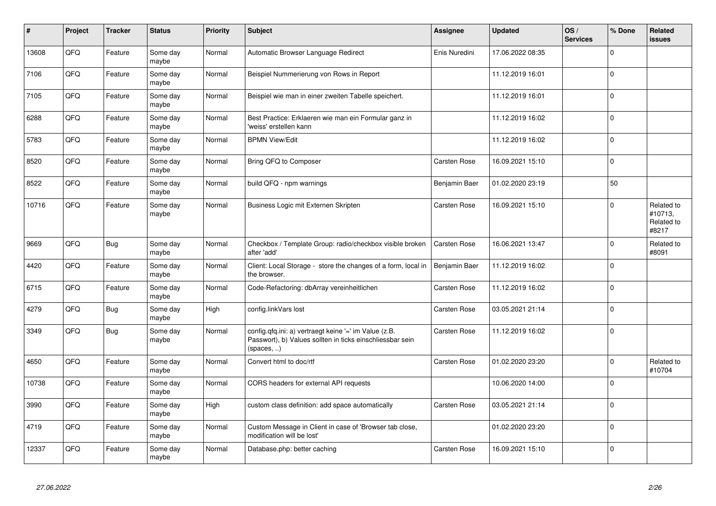| #     | Project | <b>Tracker</b> | <b>Status</b>     | <b>Priority</b> | <b>Subject</b>                                                                                                                   | Assignee            | <b>Updated</b>   | OS/<br><b>Services</b> | % Done      | Related<br><b>issues</b>                     |
|-------|---------|----------------|-------------------|-----------------|----------------------------------------------------------------------------------------------------------------------------------|---------------------|------------------|------------------------|-------------|----------------------------------------------|
| 13608 | QFQ     | Feature        | Some day<br>maybe | Normal          | Automatic Browser Language Redirect                                                                                              | Enis Nuredini       | 17.06.2022 08:35 |                        | $\Omega$    |                                              |
| 7106  | QFQ     | Feature        | Some day<br>maybe | Normal          | Beispiel Nummerierung von Rows in Report                                                                                         |                     | 11.12.2019 16:01 |                        | $\Omega$    |                                              |
| 7105  | QFQ     | Feature        | Some day<br>maybe | Normal          | Beispiel wie man in einer zweiten Tabelle speichert.                                                                             |                     | 11.12.2019 16:01 |                        | $\Omega$    |                                              |
| 6288  | QFQ     | Feature        | Some day<br>maybe | Normal          | Best Practice: Erklaeren wie man ein Formular ganz in<br>'weiss' erstellen kann                                                  |                     | 11.12.2019 16:02 |                        | $\Omega$    |                                              |
| 5783  | QFQ     | Feature        | Some day<br>maybe | Normal          | <b>BPMN View/Edit</b>                                                                                                            |                     | 11.12.2019 16:02 |                        | $\Omega$    |                                              |
| 8520  | QFQ     | Feature        | Some day<br>maybe | Normal          | Bring QFQ to Composer                                                                                                            | Carsten Rose        | 16.09.2021 15:10 |                        | $\Omega$    |                                              |
| 8522  | QFQ     | Feature        | Some day<br>maybe | Normal          | build QFQ - npm warnings                                                                                                         | Benjamin Baer       | 01.02.2020 23:19 |                        | 50          |                                              |
| 10716 | QFQ     | Feature        | Some day<br>maybe | Normal          | Business Logic mit Externen Skripten                                                                                             | <b>Carsten Rose</b> | 16.09.2021 15:10 |                        | $\Omega$    | Related to<br>#10713,<br>Related to<br>#8217 |
| 9669  | QFQ     | <b>Bug</b>     | Some day<br>maybe | Normal          | Checkbox / Template Group: radio/checkbox visible broken<br>after 'add'                                                          | <b>Carsten Rose</b> | 16.06.2021 13:47 |                        | $\mathbf 0$ | Related to<br>#8091                          |
| 4420  | QFQ     | Feature        | Some day<br>maybe | Normal          | Client: Local Storage - store the changes of a form, local in<br>the browser.                                                    | Benjamin Baer       | 11.12.2019 16:02 |                        | $\Omega$    |                                              |
| 6715  | QFQ     | Feature        | Some day<br>maybe | Normal          | Code-Refactoring: dbArray vereinheitlichen                                                                                       | <b>Carsten Rose</b> | 11.12.2019 16:02 |                        | $\Omega$    |                                              |
| 4279  | QFQ     | Bug            | Some day<br>maybe | High            | config.linkVars lost                                                                                                             | <b>Carsten Rose</b> | 03.05.2021 21:14 |                        | $\Omega$    |                                              |
| 3349  | QFQ     | <b>Bug</b>     | Some day<br>maybe | Normal          | config.qfq.ini: a) vertraegt keine '=' im Value (z.B.<br>Passwort), b) Values sollten in ticks einschliessbar sein<br>(spaces, ) | Carsten Rose        | 11.12.2019 16:02 |                        | $\Omega$    |                                              |
| 4650  | QFQ     | Feature        | Some day<br>maybe | Normal          | Convert html to doc/rtf                                                                                                          | <b>Carsten Rose</b> | 01.02.2020 23:20 |                        | $\mathbf 0$ | Related to<br>#10704                         |
| 10738 | QFQ     | Feature        | Some day<br>maybe | Normal          | CORS headers for external API requests                                                                                           |                     | 10.06.2020 14:00 |                        | $\Omega$    |                                              |
| 3990  | QFQ     | Feature        | Some day<br>maybe | High            | custom class definition: add space automatically                                                                                 | <b>Carsten Rose</b> | 03.05.2021 21:14 |                        | $\Omega$    |                                              |
| 4719  | QFQ     | Feature        | Some day<br>maybe | Normal          | Custom Message in Client in case of 'Browser tab close,<br>modification will be lost'                                            |                     | 01.02.2020 23:20 |                        | $\Omega$    |                                              |
| 12337 | QFQ     | Feature        | Some day<br>maybe | Normal          | Database.php: better caching                                                                                                     | <b>Carsten Rose</b> | 16.09.2021 15:10 |                        | $\Omega$    |                                              |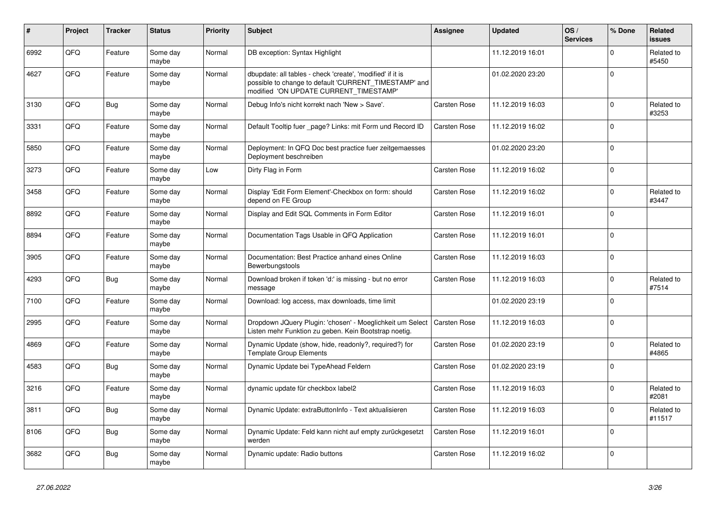| ∦    | Project    | <b>Tracker</b> | <b>Status</b>     | <b>Priority</b> | <b>Subject</b>                                                                                                                                                | <b>Assignee</b>     | <b>Updated</b>   | OS/<br><b>Services</b> | % Done      | Related<br><b>issues</b> |
|------|------------|----------------|-------------------|-----------------|---------------------------------------------------------------------------------------------------------------------------------------------------------------|---------------------|------------------|------------------------|-------------|--------------------------|
| 6992 | QFQ        | Feature        | Some day<br>maybe | Normal          | DB exception: Syntax Highlight                                                                                                                                |                     | 11.12.2019 16:01 |                        | $\Omega$    | Related to<br>#5450      |
| 4627 | QFQ        | Feature        | Some day<br>maybe | Normal          | dbupdate: all tables - check 'create', 'modified' if it is<br>possible to change to default 'CURRENT_TIMESTAMP' and<br>modified 'ON UPDATE CURRENT_TIMESTAMP' |                     | 01.02.2020 23:20 |                        | $\mathbf 0$ |                          |
| 3130 | <b>OFO</b> | <b>Bug</b>     | Some day<br>maybe | Normal          | Debug Info's nicht korrekt nach 'New > Save'.                                                                                                                 | Carsten Rose        | 11.12.2019 16:03 |                        | $\Omega$    | Related to<br>#3253      |
| 3331 | QFQ        | Feature        | Some day<br>maybe | Normal          | Default Tooltip fuer page? Links: mit Form und Record ID                                                                                                      | Carsten Rose        | 11.12.2019 16:02 |                        | $\mathbf 0$ |                          |
| 5850 | QFQ        | Feature        | Some day<br>maybe | Normal          | Deployment: In QFQ Doc best practice fuer zeitgemaesses<br>Deployment beschreiben                                                                             |                     | 01.02.2020 23:20 |                        | $\Omega$    |                          |
| 3273 | QFQ        | Feature        | Some day<br>maybe | Low             | Dirty Flag in Form                                                                                                                                            | Carsten Rose        | 11.12.2019 16:02 |                        | $\Omega$    |                          |
| 3458 | QFQ        | Feature        | Some day<br>maybe | Normal          | Display 'Edit Form Element'-Checkbox on form: should<br>depend on FE Group                                                                                    | Carsten Rose        | 11.12.2019 16:02 |                        | $\mathbf 0$ | Related to<br>#3447      |
| 8892 | QFQ        | Feature        | Some day<br>maybe | Normal          | Display and Edit SQL Comments in Form Editor                                                                                                                  | Carsten Rose        | 11.12.2019 16:01 |                        | $\mathbf 0$ |                          |
| 8894 | QFQ        | Feature        | Some day<br>maybe | Normal          | Documentation Tags Usable in QFQ Application                                                                                                                  | Carsten Rose        | 11.12.2019 16:01 |                        | $\mathbf 0$ |                          |
| 3905 | QFQ        | Feature        | Some day<br>maybe | Normal          | Documentation: Best Practice anhand eines Online<br>Bewerbungstools                                                                                           | Carsten Rose        | 11.12.2019 16:03 |                        | $\mathbf 0$ |                          |
| 4293 | QFQ        | Bug            | Some day<br>maybe | Normal          | Download broken if token 'd:' is missing - but no error<br>message                                                                                            | Carsten Rose        | 11.12.2019 16:03 |                        | $\Omega$    | Related to<br>#7514      |
| 7100 | QFQ        | Feature        | Some day<br>maybe | Normal          | Download: log access, max downloads, time limit                                                                                                               |                     | 01.02.2020 23:19 |                        | $\Omega$    |                          |
| 2995 | QFQ        | Feature        | Some day<br>maybe | Normal          | Dropdown JQuery Plugin: 'chosen' - Moeglichkeit um Select<br>Listen mehr Funktion zu geben. Kein Bootstrap noetig.                                            | <b>Carsten Rose</b> | 11.12.2019 16:03 |                        | $\mathbf 0$ |                          |
| 4869 | QFQ        | Feature        | Some day<br>maybe | Normal          | Dynamic Update (show, hide, readonly?, required?) for<br><b>Template Group Elements</b>                                                                       | Carsten Rose        | 01.02.2020 23:19 |                        | $\mathbf 0$ | Related to<br>#4865      |
| 4583 | QFQ        | <b>Bug</b>     | Some day<br>maybe | Normal          | Dynamic Update bei TypeAhead Feldern                                                                                                                          | Carsten Rose        | 01.02.2020 23:19 |                        | $\mathbf 0$ |                          |
| 3216 | QFQ        | Feature        | Some day<br>maybe | Normal          | dynamic update für checkbox label2                                                                                                                            | Carsten Rose        | 11.12.2019 16:03 |                        | $\mathbf 0$ | Related to<br>#2081      |
| 3811 | QFQ        | <b>Bug</b>     | Some day<br>maybe | Normal          | Dynamic Update: extraButtonInfo - Text aktualisieren                                                                                                          | Carsten Rose        | 11.12.2019 16:03 |                        | $\Omega$    | Related to<br>#11517     |
| 8106 | QFQ        | <b>Bug</b>     | Some day<br>maybe | Normal          | Dynamic Update: Feld kann nicht auf empty zurückgesetzt<br>werden                                                                                             | Carsten Rose        | 11.12.2019 16:01 |                        | $\Omega$    |                          |
| 3682 | QFQ        | Bug            | Some day<br>maybe | Normal          | Dynamic update: Radio buttons                                                                                                                                 | Carsten Rose        | 11.12.2019 16:02 |                        | $\Omega$    |                          |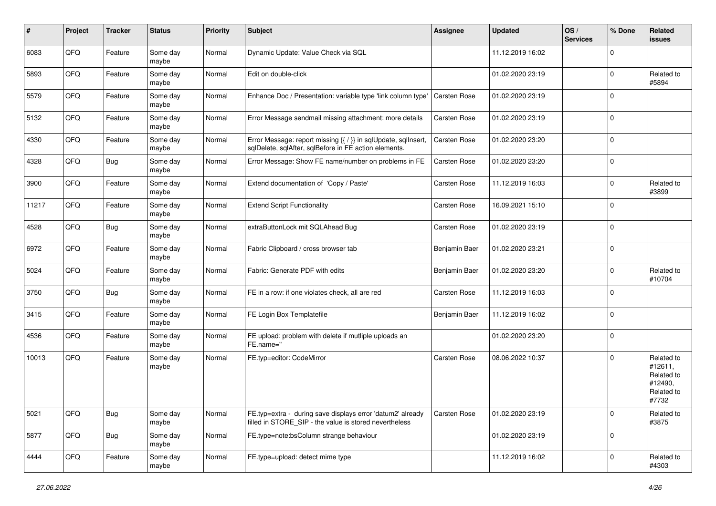| #     | Project | <b>Tracker</b> | <b>Status</b>     | <b>Priority</b> | <b>Subject</b>                                                                                                          | Assignee            | Updated          | OS/<br><b>Services</b> | % Done      | Related<br><b>issues</b>                                              |
|-------|---------|----------------|-------------------|-----------------|-------------------------------------------------------------------------------------------------------------------------|---------------------|------------------|------------------------|-------------|-----------------------------------------------------------------------|
| 6083  | QFQ     | Feature        | Some day<br>maybe | Normal          | Dynamic Update: Value Check via SQL                                                                                     |                     | 11.12.2019 16:02 |                        | $\Omega$    |                                                                       |
| 5893  | QFQ     | Feature        | Some day<br>maybe | Normal          | Edit on double-click                                                                                                    |                     | 01.02.2020 23:19 |                        | $\Omega$    | Related to<br>#5894                                                   |
| 5579  | QFQ     | Feature        | Some day<br>maybe | Normal          | Enhance Doc / Presentation: variable type 'link column type'                                                            | Carsten Rose        | 01.02.2020 23:19 |                        | $\Omega$    |                                                                       |
| 5132  | QFQ     | Feature        | Some day<br>maybe | Normal          | Error Message sendmail missing attachment: more details                                                                 | <b>Carsten Rose</b> | 01.02.2020 23:19 |                        | $\mathbf 0$ |                                                                       |
| 4330  | QFQ     | Feature        | Some day<br>maybe | Normal          | Error Message: report missing {{ / }} in sqlUpdate, sqlInsert,<br>sqlDelete, sqlAfter, sqlBefore in FE action elements. | <b>Carsten Rose</b> | 01.02.2020 23:20 |                        | $\mathbf 0$ |                                                                       |
| 4328  | QFQ     | Bug            | Some day<br>maybe | Normal          | Error Message: Show FE name/number on problems in FE                                                                    | Carsten Rose        | 01.02.2020 23:20 |                        | $\Omega$    |                                                                       |
| 3900  | QFQ     | Feature        | Some day<br>maybe | Normal          | Extend documentation of 'Copy / Paste'                                                                                  | Carsten Rose        | 11.12.2019 16:03 |                        | $\Omega$    | Related to<br>#3899                                                   |
| 11217 | QFQ     | Feature        | Some day<br>maybe | Normal          | <b>Extend Script Functionality</b>                                                                                      | Carsten Rose        | 16.09.2021 15:10 |                        | $\Omega$    |                                                                       |
| 4528  | QFQ     | <b>Bug</b>     | Some day<br>maybe | Normal          | extraButtonLock mit SQLAhead Bug                                                                                        | Carsten Rose        | 01.02.2020 23:19 |                        | $\mathbf 0$ |                                                                       |
| 6972  | QFQ     | Feature        | Some day<br>maybe | Normal          | Fabric Clipboard / cross browser tab                                                                                    | Benjamin Baer       | 01.02.2020 23:21 |                        | $\Omega$    |                                                                       |
| 5024  | QFQ     | Feature        | Some day<br>maybe | Normal          | Fabric: Generate PDF with edits                                                                                         | Benjamin Baer       | 01.02.2020 23:20 |                        | $\mathbf 0$ | Related to<br>#10704                                                  |
| 3750  | QFQ     | Bug            | Some day<br>maybe | Normal          | FE in a row: if one violates check, all are red                                                                         | <b>Carsten Rose</b> | 11.12.2019 16:03 |                        | $\Omega$    |                                                                       |
| 3415  | QFQ     | Feature        | Some day<br>maybe | Normal          | FE Login Box Templatefile                                                                                               | Benjamin Baer       | 11.12.2019 16:02 |                        | $\Omega$    |                                                                       |
| 4536  | QFQ     | Feature        | Some day<br>maybe | Normal          | FE upload: problem with delete if mutliple uploads an<br>FE.name="                                                      |                     | 01.02.2020 23:20 |                        | $\Omega$    |                                                                       |
| 10013 | QFQ     | Feature        | Some day<br>maybe | Normal          | FE.typ=editor: CodeMirror                                                                                               | <b>Carsten Rose</b> | 08.06.2022 10:37 |                        | $\Omega$    | Related to<br>#12611,<br>Related to<br>#12490,<br>Related to<br>#7732 |
| 5021  | QFQ     | Bug            | Some day<br>maybe | Normal          | FE.typ=extra - during save displays error 'datum2' already<br>filled in STORE SIP - the value is stored nevertheless    | Carsten Rose        | 01.02.2020 23:19 |                        | $\mathbf 0$ | Related to<br>#3875                                                   |
| 5877  | QFQ     | <b>Bug</b>     | Some day<br>maybe | Normal          | FE.type=note:bsColumn strange behaviour                                                                                 |                     | 01.02.2020 23:19 |                        | $\mathbf 0$ |                                                                       |
| 4444  | QFQ     | Feature        | Some day<br>maybe | Normal          | FE.type=upload: detect mime type                                                                                        |                     | 11.12.2019 16:02 |                        | $\mathbf 0$ | Related to<br>#4303                                                   |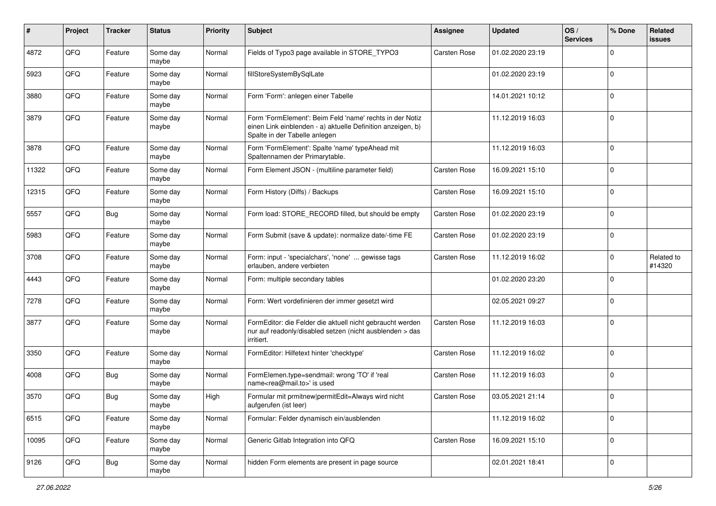| #     | Project | <b>Tracker</b> | <b>Status</b>     | <b>Priority</b> | Subject                                                                                                                                                  | <b>Assignee</b>     | <b>Updated</b>   | OS/<br><b>Services</b> | % Done              | Related<br>issues    |
|-------|---------|----------------|-------------------|-----------------|----------------------------------------------------------------------------------------------------------------------------------------------------------|---------------------|------------------|------------------------|---------------------|----------------------|
| 4872  | QFQ     | Feature        | Some day<br>maybe | Normal          | Fields of Typo3 page available in STORE_TYPO3                                                                                                            | <b>Carsten Rose</b> | 01.02.2020 23:19 |                        | $\mathbf 0$         |                      |
| 5923  | QFQ     | Feature        | Some day<br>maybe | Normal          | fillStoreSystemBySqlLate                                                                                                                                 |                     | 01.02.2020 23:19 |                        | $\mathbf 0$         |                      |
| 3880  | QFQ     | Feature        | Some day<br>maybe | Normal          | Form 'Form': anlegen einer Tabelle                                                                                                                       |                     | 14.01.2021 10:12 |                        | $\mathbf 0$         |                      |
| 3879  | QFQ     | Feature        | Some day<br>maybe | Normal          | Form 'FormElement': Beim Feld 'name' rechts in der Notiz<br>einen Link einblenden - a) aktuelle Definition anzeigen, b)<br>Spalte in der Tabelle anlegen |                     | 11.12.2019 16:03 |                        | $\Omega$            |                      |
| 3878  | QFQ     | Feature        | Some day<br>maybe | Normal          | Form 'FormElement': Spalte 'name' typeAhead mit<br>Spaltennamen der Primarytable.                                                                        |                     | 11.12.2019 16:03 |                        | $\mathbf 0$         |                      |
| 11322 | QFQ     | Feature        | Some day<br>maybe | Normal          | Form Element JSON - (multiline parameter field)                                                                                                          | <b>Carsten Rose</b> | 16.09.2021 15:10 |                        | $\mathbf 0$         |                      |
| 12315 | QFQ     | Feature        | Some day<br>maybe | Normal          | Form History (Diffs) / Backups                                                                                                                           | <b>Carsten Rose</b> | 16.09.2021 15:10 |                        | $\Omega$            |                      |
| 5557  | QFQ     | Bug            | Some day<br>maybe | Normal          | Form load: STORE_RECORD filled, but should be empty                                                                                                      | <b>Carsten Rose</b> | 01.02.2020 23:19 |                        | $\Omega$            |                      |
| 5983  | QFQ     | Feature        | Some day<br>maybe | Normal          | Form Submit (save & update): normalize date/-time FE                                                                                                     | <b>Carsten Rose</b> | 01.02.2020 23:19 |                        | $\mathbf 0$         |                      |
| 3708  | QFQ     | Feature        | Some day<br>maybe | Normal          | Form: input - 'specialchars', 'none'  gewisse tags<br>erlauben, andere verbieten                                                                         | <b>Carsten Rose</b> | 11.12.2019 16:02 |                        | $\mathbf 0$         | Related to<br>#14320 |
| 4443  | QFQ     | Feature        | Some day<br>maybe | Normal          | Form: multiple secondary tables                                                                                                                          |                     | 01.02.2020 23:20 |                        | $\mathbf 0$         |                      |
| 7278  | QFQ     | Feature        | Some day<br>maybe | Normal          | Form: Wert vordefinieren der immer gesetzt wird                                                                                                          |                     | 02.05.2021 09:27 |                        | $\Omega$            |                      |
| 3877  | QFQ     | Feature        | Some day<br>maybe | Normal          | FormEditor: die Felder die aktuell nicht gebraucht werden<br>nur auf readonly/disabled setzen (nicht ausblenden > das<br>irritiert.                      | <b>Carsten Rose</b> | 11.12.2019 16:03 |                        | $\mathbf 0$         |                      |
| 3350  | QFQ     | Feature        | Some day<br>maybe | Normal          | FormEditor: Hilfetext hinter 'checktype'                                                                                                                 | <b>Carsten Rose</b> | 11.12.2019 16:02 |                        | $\Omega$            |                      |
| 4008  | QFQ     | <b>Bug</b>     | Some day<br>maybe | Normal          | FormElemen.type=sendmail: wrong 'TO' if 'real<br>name <rea@mail.to>' is used</rea@mail.to>                                                               | <b>Carsten Rose</b> | 11.12.2019 16:03 |                        | $\mathbf 0$         |                      |
| 3570  | QFQ     | Bug            | Some day<br>maybe | High            | Formular mit prmitnew permitEdit=Always wird nicht<br>aufgerufen (ist leer)                                                                              | <b>Carsten Rose</b> | 03.05.2021 21:14 |                        | $\mathbf 0$         |                      |
| 6515  | QFG     | Feature        | Some day<br>maybe | Normal          | Formular: Felder dynamisch ein/ausblenden                                                                                                                |                     | 11.12.2019 16:02 |                        | $\mathbf 0$         |                      |
| 10095 | QFG     | Feature        | Some day<br>maybe | Normal          | Generic Gitlab Integration into QFQ                                                                                                                      | Carsten Rose        | 16.09.2021 15:10 |                        | $\mathsf{O}\xspace$ |                      |
| 9126  | QFQ     | Bug            | Some day<br>maybe | Normal          | hidden Form elements are present in page source                                                                                                          |                     | 02.01.2021 18:41 |                        | 0                   |                      |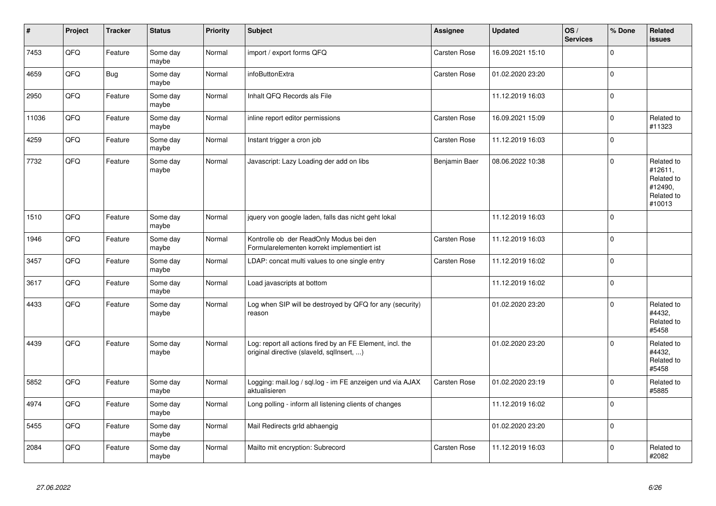| $\vert$ # | Project | <b>Tracker</b> | <b>Status</b>     | <b>Priority</b> | <b>Subject</b>                                                                                         | Assignee            | <b>Updated</b>   | OS/<br><b>Services</b> | % Done      | Related<br><b>issues</b>                                               |
|-----------|---------|----------------|-------------------|-----------------|--------------------------------------------------------------------------------------------------------|---------------------|------------------|------------------------|-------------|------------------------------------------------------------------------|
| 7453      | QFQ     | Feature        | Some day<br>maybe | Normal          | import / export forms QFQ                                                                              | <b>Carsten Rose</b> | 16.09.2021 15:10 |                        | $\mathbf 0$ |                                                                        |
| 4659      | QFQ     | <b>Bug</b>     | Some day<br>maybe | Normal          | infoButtonExtra                                                                                        | Carsten Rose        | 01.02.2020 23:20 |                        | $\mathbf 0$ |                                                                        |
| 2950      | QFQ     | Feature        | Some day<br>maybe | Normal          | Inhalt QFQ Records als File                                                                            |                     | 11.12.2019 16:03 |                        | $\mathbf 0$ |                                                                        |
| 11036     | QFQ     | Feature        | Some day<br>maybe | Normal          | inline report editor permissions                                                                       | Carsten Rose        | 16.09.2021 15:09 |                        | $\Omega$    | Related to<br>#11323                                                   |
| 4259      | QFQ     | Feature        | Some day<br>maybe | Normal          | Instant trigger a cron job                                                                             | Carsten Rose        | 11.12.2019 16:03 |                        | $\mathbf 0$ |                                                                        |
| 7732      | QFQ     | Feature        | Some day<br>maybe | Normal          | Javascript: Lazy Loading der add on libs                                                               | Benjamin Baer       | 08.06.2022 10:38 |                        | $\mathbf 0$ | Related to<br>#12611,<br>Related to<br>#12490,<br>Related to<br>#10013 |
| 1510      | QFQ     | Feature        | Some day<br>maybe | Normal          | jquery von google laden, falls das nicht geht lokal                                                    |                     | 11.12.2019 16:03 |                        | $\Omega$    |                                                                        |
| 1946      | QFQ     | Feature        | Some day<br>maybe | Normal          | Kontrolle ob der ReadOnly Modus bei den<br>Formularelementen korrekt implementiert ist                 | Carsten Rose        | 11.12.2019 16:03 |                        | $\mathbf 0$ |                                                                        |
| 3457      | QFG     | Feature        | Some day<br>maybe | Normal          | LDAP: concat multi values to one single entry                                                          | Carsten Rose        | 11.12.2019 16:02 |                        | $\Omega$    |                                                                        |
| 3617      | QFQ     | Feature        | Some day<br>maybe | Normal          | Load javascripts at bottom                                                                             |                     | 11.12.2019 16:02 |                        | $\Omega$    |                                                                        |
| 4433      | QFQ     | Feature        | Some day<br>maybe | Normal          | Log when SIP will be destroyed by QFQ for any (security)<br>reason                                     |                     | 01.02.2020 23:20 |                        | $\Omega$    | Related to<br>#4432,<br>Related to<br>#5458                            |
| 4439      | QFQ     | Feature        | Some day<br>maybe | Normal          | Log: report all actions fired by an FE Element, incl. the<br>original directive (slaveld, sqllnsert, ) |                     | 01.02.2020 23:20 |                        | $\Omega$    | Related to<br>#4432,<br>Related to<br>#5458                            |
| 5852      | QFQ     | Feature        | Some day<br>maybe | Normal          | Logging: mail.log / sql.log - im FE anzeigen und via AJAX<br>aktualisieren                             | Carsten Rose        | 01.02.2020 23:19 |                        | $\Omega$    | Related to<br>#5885                                                    |
| 4974      | QFQ     | Feature        | Some day<br>maybe | Normal          | Long polling - inform all listening clients of changes                                                 |                     | 11.12.2019 16:02 |                        | $\Omega$    |                                                                        |
| 5455      | QFQ     | Feature        | Some day<br>maybe | Normal          | Mail Redirects grId abhaengig                                                                          |                     | 01.02.2020 23:20 |                        | $\Omega$    |                                                                        |
| 2084      | QFQ     | Feature        | Some day<br>maybe | Normal          | Mailto mit encryption: Subrecord                                                                       | Carsten Rose        | 11.12.2019 16:03 |                        | $\Omega$    | Related to<br>#2082                                                    |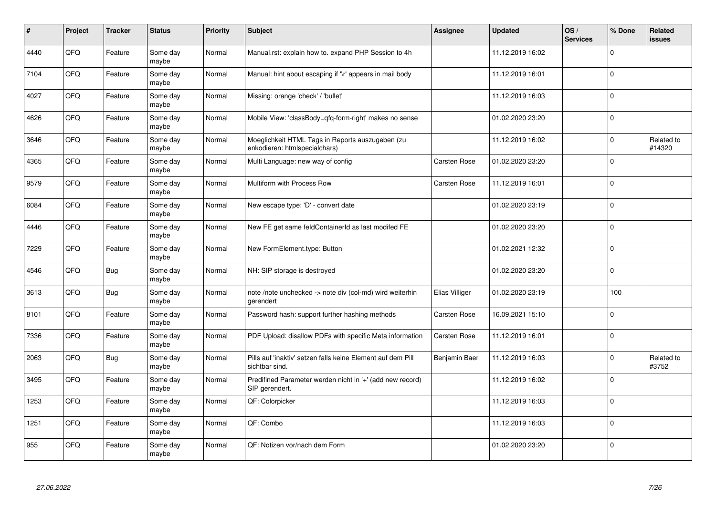| #    | Project | <b>Tracker</b> | <b>Status</b>     | <b>Priority</b> | <b>Subject</b>                                                                    | Assignee            | <b>Updated</b>   | OS/<br><b>Services</b> | % Done      | Related<br><b>issues</b> |
|------|---------|----------------|-------------------|-----------------|-----------------------------------------------------------------------------------|---------------------|------------------|------------------------|-------------|--------------------------|
| 4440 | QFQ     | Feature        | Some day<br>maybe | Normal          | Manual.rst: explain how to. expand PHP Session to 4h                              |                     | 11.12.2019 16:02 |                        | $\Omega$    |                          |
| 7104 | QFQ     | Feature        | Some day<br>maybe | Normal          | Manual: hint about escaping if '\r' appears in mail body                          |                     | 11.12.2019 16:01 |                        | $\Omega$    |                          |
| 4027 | QFQ     | Feature        | Some day<br>maybe | Normal          | Missing: orange 'check' / 'bullet'                                                |                     | 11.12.2019 16:03 |                        | $\Omega$    |                          |
| 4626 | QFQ     | Feature        | Some day<br>maybe | Normal          | Mobile View: 'classBody=qfq-form-right' makes no sense                            |                     | 01.02.2020 23:20 |                        | $\Omega$    |                          |
| 3646 | QFQ     | Feature        | Some day<br>maybe | Normal          | Moeglichkeit HTML Tags in Reports auszugeben (zu<br>enkodieren: htmlspecialchars) |                     | 11.12.2019 16:02 |                        | $\Omega$    | Related to<br>#14320     |
| 4365 | QFQ     | Feature        | Some day<br>maybe | Normal          | Multi Language: new way of config                                                 | Carsten Rose        | 01.02.2020 23:20 |                        | $\Omega$    |                          |
| 9579 | QFQ     | Feature        | Some day<br>maybe | Normal          | Multiform with Process Row                                                        | Carsten Rose        | 11.12.2019 16:01 |                        | $\Omega$    |                          |
| 6084 | QFQ     | Feature        | Some day<br>maybe | Normal          | New escape type: 'D' - convert date                                               |                     | 01.02.2020 23:19 |                        | $\Omega$    |                          |
| 4446 | QFQ     | Feature        | Some day<br>maybe | Normal          | New FE get same feldContainerId as last modifed FE                                |                     | 01.02.2020 23:20 |                        | $\Omega$    |                          |
| 7229 | QFQ     | Feature        | Some day<br>maybe | Normal          | New FormElement.type: Button                                                      |                     | 01.02.2021 12:32 |                        | $\Omega$    |                          |
| 4546 | QFQ     | Bug            | Some day<br>maybe | Normal          | NH: SIP storage is destroyed                                                      |                     | 01.02.2020 23:20 |                        | $\mathbf 0$ |                          |
| 3613 | QFQ     | <b>Bug</b>     | Some day<br>maybe | Normal          | note /note unchecked -> note div (col-md) wird weiterhin<br>gerendert             | Elias Villiger      | 01.02.2020 23:19 |                        | 100         |                          |
| 8101 | QFQ     | Feature        | Some day<br>maybe | Normal          | Password hash: support further hashing methods                                    | <b>Carsten Rose</b> | 16.09.2021 15:10 |                        | $\mathbf 0$ |                          |
| 7336 | QFQ     | Feature        | Some day<br>maybe | Normal          | PDF Upload: disallow PDFs with specific Meta information                          | <b>Carsten Rose</b> | 11.12.2019 16:01 |                        | $\mathbf 0$ |                          |
| 2063 | QFQ     | Bug            | Some day<br>maybe | Normal          | Pills auf 'inaktiv' setzen falls keine Element auf dem Pill<br>sichtbar sind.     | Benjamin Baer       | 11.12.2019 16:03 |                        | $\Omega$    | Related to<br>#3752      |
| 3495 | QFQ     | Feature        | Some day<br>maybe | Normal          | Predifined Parameter werden nicht in '+' (add new record)<br>SIP gerendert.       |                     | 11.12.2019 16:02 |                        | $\Omega$    |                          |
| 1253 | QFQ     | Feature        | Some day<br>maybe | Normal          | QF: Colorpicker                                                                   |                     | 11.12.2019 16:03 |                        | $\Omega$    |                          |
| 1251 | QFQ     | Feature        | Some day<br>maybe | Normal          | QF: Combo                                                                         |                     | 11.12.2019 16:03 |                        | 0           |                          |
| 955  | QFQ     | Feature        | Some day<br>maybe | Normal          | QF: Notizen vor/nach dem Form                                                     |                     | 01.02.2020 23:20 |                        | $\Omega$    |                          |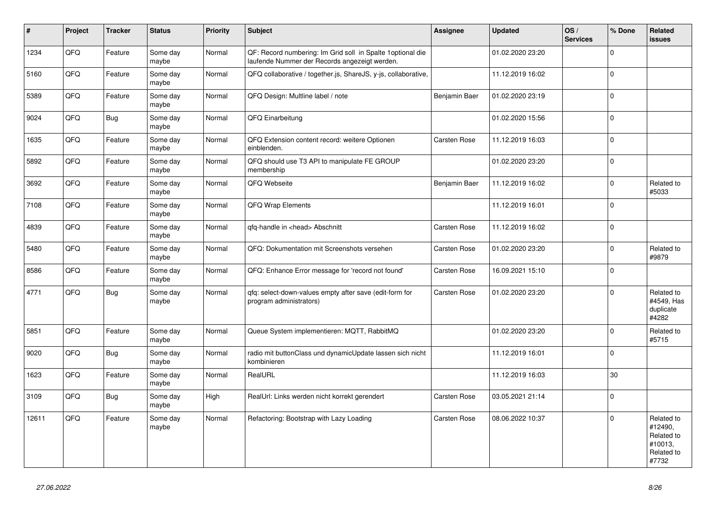| $\vert$ # | Project | <b>Tracker</b> | <b>Status</b>     | <b>Priority</b> | <b>Subject</b>                                                                                               | Assignee            | <b>Updated</b>   | OS/<br><b>Services</b> | % Done      | Related<br>issues                                                     |
|-----------|---------|----------------|-------------------|-----------------|--------------------------------------------------------------------------------------------------------------|---------------------|------------------|------------------------|-------------|-----------------------------------------------------------------------|
| 1234      | QFQ     | Feature        | Some day<br>maybe | Normal          | QF: Record numbering: Im Grid soll in Spalte 1 optional die<br>laufende Nummer der Records angezeigt werden. |                     | 01.02.2020 23:20 |                        | $\Omega$    |                                                                       |
| 5160      | QFQ     | Feature        | Some day<br>maybe | Normal          | QFQ collaborative / together.js, ShareJS, y-js, collaborative,                                               |                     | 11.12.2019 16:02 |                        | $\mathbf 0$ |                                                                       |
| 5389      | QFQ     | Feature        | Some day<br>maybe | Normal          | QFQ Design: Multline label / note                                                                            | Benjamin Baer       | 01.02.2020 23:19 |                        | $\Omega$    |                                                                       |
| 9024      | QFQ     | Bug            | Some day<br>maybe | Normal          | QFQ Einarbeitung                                                                                             |                     | 01.02.2020 15:56 |                        | $\mathbf 0$ |                                                                       |
| 1635      | QFQ     | Feature        | Some day<br>maybe | Normal          | QFQ Extension content record: weitere Optionen<br>einblenden.                                                | <b>Carsten Rose</b> | 11.12.2019 16:03 |                        | $\mathbf 0$ |                                                                       |
| 5892      | QFQ     | Feature        | Some day<br>maybe | Normal          | QFQ should use T3 API to manipulate FE GROUP<br>membership                                                   |                     | 01.02.2020 23:20 |                        | $\mathbf 0$ |                                                                       |
| 3692      | QFQ     | Feature        | Some day<br>maybe | Normal          | QFQ Webseite                                                                                                 | Benjamin Baer       | 11.12.2019 16:02 |                        | $\Omega$    | Related to<br>#5033                                                   |
| 7108      | QFG     | Feature        | Some day<br>maybe | Normal          | QFQ Wrap Elements                                                                                            |                     | 11.12.2019 16:01 |                        | $\mathbf 0$ |                                                                       |
| 4839      | QFQ     | Feature        | Some day<br>maybe | Normal          | qfq-handle in <head> Abschnitt</head>                                                                        | Carsten Rose        | 11.12.2019 16:02 |                        | $\mathbf 0$ |                                                                       |
| 5480      | QFQ     | Feature        | Some day<br>maybe | Normal          | QFQ: Dokumentation mit Screenshots versehen                                                                  | Carsten Rose        | 01.02.2020 23:20 |                        | $\Omega$    | Related to<br>#9879                                                   |
| 8586      | QFQ     | Feature        | Some day<br>maybe | Normal          | QFQ: Enhance Error message for 'record not found'                                                            | Carsten Rose        | 16.09.2021 15:10 |                        | $\mathbf 0$ |                                                                       |
| 4771      | QFQ     | Bug            | Some day<br>maybe | Normal          | qfq: select-down-values empty after save (edit-form for<br>program administrators)                           | Carsten Rose        | 01.02.2020 23:20 |                        | $\Omega$    | Related to<br>#4549, Has<br>duplicate<br>#4282                        |
| 5851      | QFQ     | Feature        | Some day<br>maybe | Normal          | Queue System implementieren: MQTT, RabbitMQ                                                                  |                     | 01.02.2020 23:20 |                        | $\Omega$    | Related to<br>#5715                                                   |
| 9020      | QFQ     | <b>Bug</b>     | Some day<br>maybe | Normal          | radio mit buttonClass und dynamicUpdate lassen sich nicht<br>kombinieren                                     |                     | 11.12.2019 16:01 |                        | $\pmb{0}$   |                                                                       |
| 1623      | QFQ     | Feature        | Some day<br>maybe | Normal          | RealURL                                                                                                      |                     | 11.12.2019 16:03 |                        | 30          |                                                                       |
| 3109      | QFQ     | <b>Bug</b>     | Some day<br>maybe | High            | RealUrl: Links werden nicht korrekt gerendert                                                                | Carsten Rose        | 03.05.2021 21:14 |                        | $\Omega$    |                                                                       |
| 12611     | QFQ     | Feature        | Some day<br>maybe | Normal          | Refactoring: Bootstrap with Lazy Loading                                                                     | Carsten Rose        | 08.06.2022 10:37 |                        | $\Omega$    | Related to<br>#12490,<br>Related to<br>#10013,<br>Related to<br>#7732 |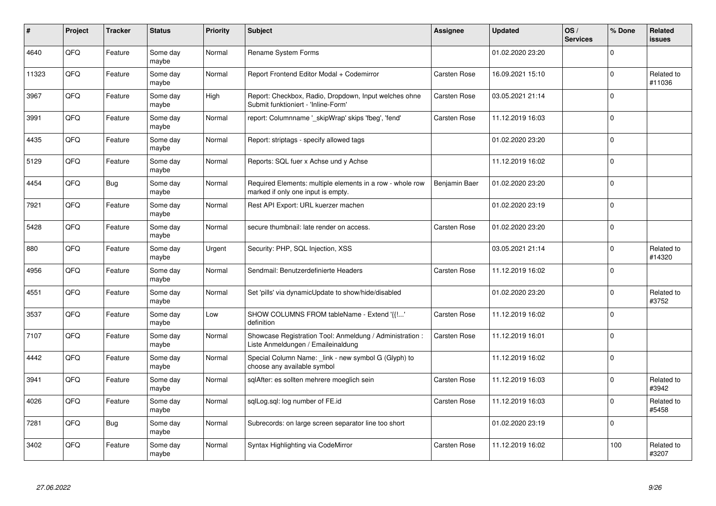| #     | Project | <b>Tracker</b> | <b>Status</b>     | <b>Priority</b> | <b>Subject</b>                                                                                  | Assignee            | <b>Updated</b>   | OS/<br><b>Services</b> | % Done      | Related<br>issues    |
|-------|---------|----------------|-------------------|-----------------|-------------------------------------------------------------------------------------------------|---------------------|------------------|------------------------|-------------|----------------------|
| 4640  | QFQ     | Feature        | Some day<br>maybe | Normal          | Rename System Forms                                                                             |                     | 01.02.2020 23:20 |                        | $\Omega$    |                      |
| 11323 | QFQ     | Feature        | Some day<br>maybe | Normal          | Report Frontend Editor Modal + Codemirror                                                       | <b>Carsten Rose</b> | 16.09.2021 15:10 |                        | $\Omega$    | Related to<br>#11036 |
| 3967  | QFQ     | Feature        | Some day<br>maybe | High            | Report: Checkbox, Radio, Dropdown, Input welches ohne<br>Submit funktioniert - 'Inline-Form'    | Carsten Rose        | 03.05.2021 21:14 |                        | $\Omega$    |                      |
| 3991  | QFQ     | Feature        | Some day<br>maybe | Normal          | report: Columnname '_skipWrap' skips 'fbeg', 'fend'                                             | Carsten Rose        | 11.12.2019 16:03 |                        | $\Omega$    |                      |
| 4435  | QFQ     | Feature        | Some day<br>maybe | Normal          | Report: striptags - specify allowed tags                                                        |                     | 01.02.2020 23:20 |                        | $\mathbf 0$ |                      |
| 5129  | QFQ     | Feature        | Some day<br>maybe | Normal          | Reports: SQL fuer x Achse und y Achse                                                           |                     | 11.12.2019 16:02 |                        | $\Omega$    |                      |
| 4454  | QFQ     | Bug            | Some day<br>maybe | Normal          | Required Elements: multiple elements in a row - whole row<br>marked if only one input is empty. | Benjamin Baer       | 01.02.2020 23:20 |                        | $\Omega$    |                      |
| 7921  | QFQ     | Feature        | Some day<br>maybe | Normal          | Rest API Export: URL kuerzer machen                                                             |                     | 01.02.2020 23:19 |                        | $\Omega$    |                      |
| 5428  | QFQ     | Feature        | Some day<br>maybe | Normal          | secure thumbnail: late render on access.                                                        | Carsten Rose        | 01.02.2020 23:20 |                        | $\Omega$    |                      |
| 880   | QFQ     | Feature        | Some day<br>maybe | Urgent          | Security: PHP, SQL Injection, XSS                                                               |                     | 03.05.2021 21:14 |                        | $\Omega$    | Related to<br>#14320 |
| 4956  | QFQ     | Feature        | Some day<br>maybe | Normal          | Sendmail: Benutzerdefinierte Headers                                                            | <b>Carsten Rose</b> | 11.12.2019 16:02 |                        | $\mathbf 0$ |                      |
| 4551  | QFQ     | Feature        | Some day<br>maybe | Normal          | Set 'pills' via dynamicUpdate to show/hide/disabled                                             |                     | 01.02.2020 23:20 |                        | $\Omega$    | Related to<br>#3752  |
| 3537  | QFQ     | Feature        | Some day<br>maybe | Low             | SHOW COLUMNS FROM tableName - Extend '{{!'<br>definition                                        | <b>Carsten Rose</b> | 11.12.2019 16:02 |                        | $\Omega$    |                      |
| 7107  | QFQ     | Feature        | Some day<br>maybe | Normal          | Showcase Registration Tool: Anmeldung / Administration :<br>Liste Anmeldungen / Emaileinaldung  | <b>Carsten Rose</b> | 11.12.2019 16:01 |                        | $\mathbf 0$ |                      |
| 4442  | QFQ     | Feature        | Some day<br>maybe | Normal          | Special Column Name: link - new symbol G (Glyph) to<br>choose any available symbol              |                     | 11.12.2019 16:02 |                        | $\Omega$    |                      |
| 3941  | QFQ     | Feature        | Some day<br>maybe | Normal          | sqlAfter: es sollten mehrere moeglich sein                                                      | Carsten Rose        | 11.12.2019 16:03 |                        | $\Omega$    | Related to<br>#3942  |
| 4026  | QFQ     | Feature        | Some day<br>maybe | Normal          | sqlLog.sql: log number of FE.id                                                                 | <b>Carsten Rose</b> | 11.12.2019 16:03 |                        | $\Omega$    | Related to<br>#5458  |
| 7281  | QFQ     | Bug            | Some day<br>maybe | Normal          | Subrecords: on large screen separator line too short                                            |                     | 01.02.2020 23:19 |                        | $\Omega$    |                      |
| 3402  | QFQ     | Feature        | Some day<br>maybe | Normal          | Syntax Highlighting via CodeMirror                                                              | Carsten Rose        | 11.12.2019 16:02 |                        | 100         | Related to<br>#3207  |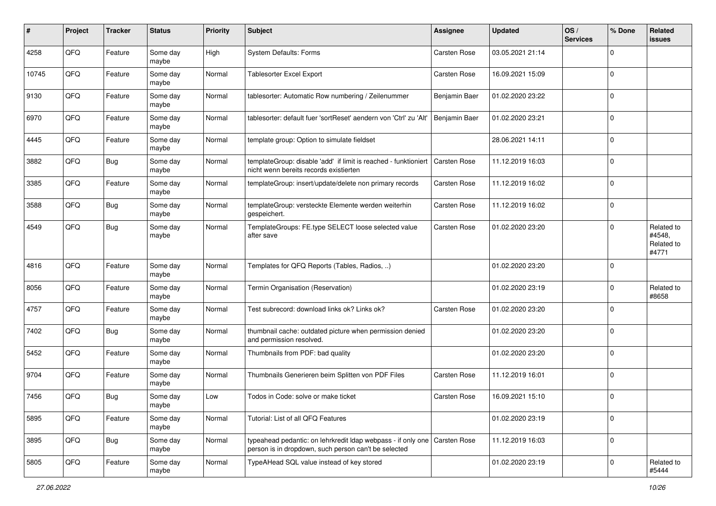| #     | Project | <b>Tracker</b> | <b>Status</b>     | <b>Priority</b> | <b>Subject</b>                                                                                                                    | Assignee            | <b>Updated</b>   | OS/<br><b>Services</b> | % Done      | Related<br>issues                           |
|-------|---------|----------------|-------------------|-----------------|-----------------------------------------------------------------------------------------------------------------------------------|---------------------|------------------|------------------------|-------------|---------------------------------------------|
| 4258  | QFQ     | Feature        | Some day<br>maybe | High            | <b>System Defaults: Forms</b>                                                                                                     | Carsten Rose        | 03.05.2021 21:14 |                        | $\Omega$    |                                             |
| 10745 | QFQ     | Feature        | Some day<br>maybe | Normal          | <b>Tablesorter Excel Export</b>                                                                                                   | Carsten Rose        | 16.09.2021 15:09 |                        | $\mathbf 0$ |                                             |
| 9130  | QFQ     | Feature        | Some day<br>maybe | Normal          | tablesorter: Automatic Row numbering / Zeilenummer                                                                                | Benjamin Baer       | 01.02.2020 23:22 |                        | $\Omega$    |                                             |
| 6970  | QFQ     | Feature        | Some day<br>maybe | Normal          | tablesorter: default fuer 'sortReset' aendern von 'Ctrl' zu 'Alt'                                                                 | Benjamin Baer       | 01.02.2020 23:21 |                        | 0           |                                             |
| 4445  | QFQ     | Feature        | Some day<br>maybe | Normal          | template group: Option to simulate fieldset                                                                                       |                     | 28.06.2021 14:11 |                        | $\mathbf 0$ |                                             |
| 3882  | QFQ     | <b>Bug</b>     | Some day<br>maybe | Normal          | templateGroup: disable 'add' if limit is reached - funktioniert<br>nicht wenn bereits records existierten                         | <b>Carsten Rose</b> | 11.12.2019 16:03 |                        | $\Omega$    |                                             |
| 3385  | QFQ     | Feature        | Some day<br>maybe | Normal          | templateGroup: insert/update/delete non primary records                                                                           | Carsten Rose        | 11.12.2019 16:02 |                        | $\Omega$    |                                             |
| 3588  | QFQ     | <b>Bug</b>     | Some day<br>maybe | Normal          | templateGroup: versteckte Elemente werden weiterhin<br>gespeichert.                                                               | Carsten Rose        | 11.12.2019 16:02 |                        | $\mathbf 0$ |                                             |
| 4549  | QFQ     | Bug            | Some day<br>maybe | Normal          | TemplateGroups: FE.type SELECT loose selected value<br>after save                                                                 | <b>Carsten Rose</b> | 01.02.2020 23:20 |                        | $\Omega$    | Related to<br>#4548,<br>Related to<br>#4771 |
| 4816  | QFQ     | Feature        | Some day<br>maybe | Normal          | Templates for QFQ Reports (Tables, Radios, )                                                                                      |                     | 01.02.2020 23:20 |                        | $\mathbf 0$ |                                             |
| 8056  | QFQ     | Feature        | Some day<br>maybe | Normal          | Termin Organisation (Reservation)                                                                                                 |                     | 01.02.2020 23:19 |                        | $\Omega$    | Related to<br>#8658                         |
| 4757  | QFQ     | Feature        | Some day<br>maybe | Normal          | Test subrecord: download links ok? Links ok?                                                                                      | <b>Carsten Rose</b> | 01.02.2020 23:20 |                        | $\Omega$    |                                             |
| 7402  | QFQ     | Bug            | Some day<br>maybe | Normal          | thumbnail cache: outdated picture when permission denied<br>and permission resolved.                                              |                     | 01.02.2020 23:20 |                        | $\Omega$    |                                             |
| 5452  | QFQ     | Feature        | Some day<br>maybe | Normal          | Thumbnails from PDF: bad quality                                                                                                  |                     | 01.02.2020 23:20 |                        | $\Omega$    |                                             |
| 9704  | QFQ     | Feature        | Some day<br>maybe | Normal          | Thumbnails Generieren beim Splitten von PDF Files                                                                                 | Carsten Rose        | 11.12.2019 16:01 |                        | $\Omega$    |                                             |
| 7456  | QFQ     | Bug            | Some day<br>maybe | Low             | Todos in Code: solve or make ticket                                                                                               | Carsten Rose        | 16.09.2021 15:10 |                        | $\Omega$    |                                             |
| 5895  | QFQ     | Feature        | Some day<br>maybe | Normal          | Tutorial: List of all QFQ Features                                                                                                |                     | 01.02.2020 23:19 |                        | $\mathbf 0$ |                                             |
| 3895  | QFQ     | <b>Bug</b>     | Some day<br>maybe | Normal          | typeahead pedantic: on lehrkredit Idap webpass - if only one Carsten Rose<br>person is in dropdown, such person can't be selected |                     | 11.12.2019 16:03 |                        | $\mathbf 0$ |                                             |
| 5805  | QFQ     | Feature        | Some day<br>maybe | Normal          | TypeAHead SQL value instead of key stored                                                                                         |                     | 01.02.2020 23:19 |                        | $\mathbf 0$ | Related to<br>#5444                         |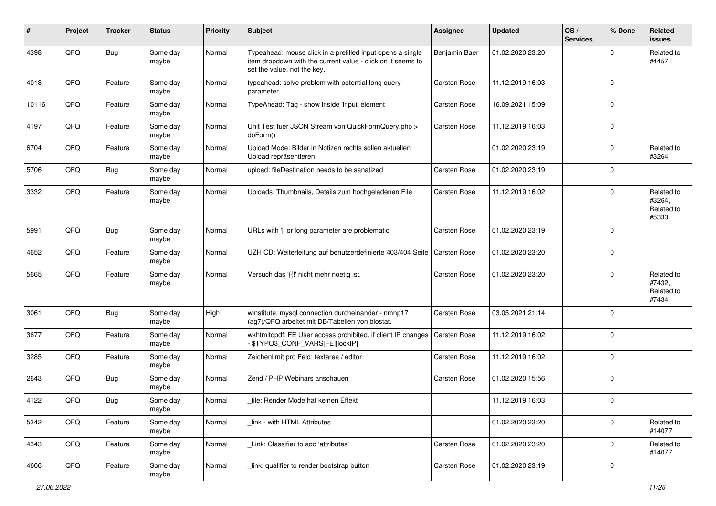| #     | Project | <b>Tracker</b> | <b>Status</b>     | <b>Priority</b> | <b>Subject</b>                                                                                                                                           | <b>Assignee</b>     | <b>Updated</b>   | OS/<br><b>Services</b> | % Done      | Related<br><b>issues</b>                    |
|-------|---------|----------------|-------------------|-----------------|----------------------------------------------------------------------------------------------------------------------------------------------------------|---------------------|------------------|------------------------|-------------|---------------------------------------------|
| 4398  | QFQ     | Bug            | Some day<br>maybe | Normal          | Typeahead: mouse click in a prefilled input opens a single<br>item dropdown with the current value - click on it seems to<br>set the value, not the key. | Benjamin Baer       | 01.02.2020 23:20 |                        | $\Omega$    | Related to<br>#4457                         |
| 4018  | QFQ     | Feature        | Some day<br>maybe | Normal          | typeahead: solve problem with potential long query<br>parameter                                                                                          | Carsten Rose        | 11.12.2019 16:03 |                        | $\Omega$    |                                             |
| 10116 | QFQ     | Feature        | Some day<br>maybe | Normal          | TypeAhead: Tag - show inside 'input' element                                                                                                             | Carsten Rose        | 16.09.2021 15:09 |                        | $\Omega$    |                                             |
| 4197  | QFQ     | Feature        | Some day<br>maybe | Normal          | Unit Test fuer JSON Stream von QuickFormQuery.php ><br>doForm()                                                                                          | Carsten Rose        | 11.12.2019 16:03 |                        | $\Omega$    |                                             |
| 6704  | QFQ     | Feature        | Some day<br>maybe | Normal          | Upload Mode: Bilder in Notizen rechts sollen aktuellen<br>Upload repräsentieren.                                                                         |                     | 01.02.2020 23:19 |                        | $\mathbf 0$ | Related to<br>#3264                         |
| 5706  | QFQ     | <b>Bug</b>     | Some day<br>maybe | Normal          | upload: fileDestination needs to be sanatized                                                                                                            | Carsten Rose        | 01.02.2020 23:19 |                        | $\mathbf 0$ |                                             |
| 3332  | QFQ     | Feature        | Some day<br>maybe | Normal          | Uploads: Thumbnails, Details zum hochgeladenen File                                                                                                      | Carsten Rose        | 11.12.2019 16:02 |                        | $\Omega$    | Related to<br>#3264,<br>Related to<br>#5333 |
| 5991  | QFQ     | <b>Bug</b>     | Some day<br>maybe | Normal          | URLs with ' ' or long parameter are problematic                                                                                                          | Carsten Rose        | 01.02.2020 23:19 |                        | $\Omega$    |                                             |
| 4652  | QFQ     | Feature        | Some day<br>maybe | Normal          | UZH CD: Weiterleitung auf benutzerdefinierte 403/404 Seite                                                                                               | <b>Carsten Rose</b> | 01.02.2020 23:20 |                        | $\mathbf 0$ |                                             |
| 5665  | QFQ     | Feature        | Some day<br>maybe | Normal          | Versuch das '{{!' nicht mehr noetig ist.                                                                                                                 | Carsten Rose        | 01.02.2020 23:20 |                        | $\Omega$    | Related to<br>#7432,<br>Related to<br>#7434 |
| 3061  | QFQ     | <b>Bug</b>     | Some day<br>maybe | High            | winstitute: mysql connection durcheinander - nmhp17<br>(ag7)/QFQ arbeitet mit DB/Tabellen von biostat.                                                   | Carsten Rose        | 03.05.2021 21:14 |                        | $\Omega$    |                                             |
| 3677  | QFQ     | Feature        | Some day<br>maybe | Normal          | wkhtmltopdf: FE User access prohibited, if client IP changes<br>\$TYPO3_CONF_VARS[FE][lockIP]                                                            | Carsten Rose        | 11.12.2019 16:02 |                        | $\Omega$    |                                             |
| 3285  | QFQ     | Feature        | Some day<br>maybe | Normal          | Zeichenlimit pro Feld: textarea / editor                                                                                                                 | Carsten Rose        | 11.12.2019 16:02 |                        | $\Omega$    |                                             |
| 2643  | QFQ     | <b>Bug</b>     | Some day<br>maybe | Normal          | Zend / PHP Webinars anschauen                                                                                                                            | Carsten Rose        | 01.02.2020 15:56 |                        | $\Omega$    |                                             |
| 4122  | QFQ     | Bug            | Some day<br>maybe | Normal          | file: Render Mode hat keinen Effekt                                                                                                                      |                     | 11.12.2019 16:03 |                        | 0           |                                             |
| 5342  | QFQ     | Feature        | Some day<br>maybe | Normal          | link - with HTML Attributes                                                                                                                              |                     | 01.02.2020 23:20 |                        | $\Omega$    | Related to<br>#14077                        |
| 4343  | QFQ     | Feature        | Some day<br>maybe | Normal          | Link: Classifier to add 'attributes'                                                                                                                     | Carsten Rose        | 01.02.2020 23:20 |                        | $\mathbf 0$ | Related to<br>#14077                        |
| 4606  | QFQ     | Feature        | Some day<br>maybe | Normal          | link: qualifier to render bootstrap button                                                                                                               | Carsten Rose        | 01.02.2020 23:19 |                        | 0           |                                             |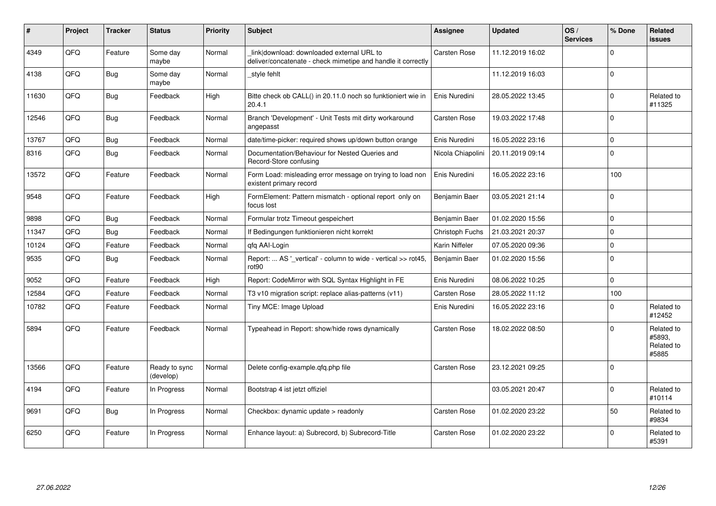| ∦     | Project | <b>Tracker</b> | <b>Status</b>              | <b>Priority</b> | <b>Subject</b>                                                                                            | <b>Assignee</b>   | <b>Updated</b>   | OS/<br><b>Services</b> | % Done      | Related<br>issues                           |
|-------|---------|----------------|----------------------------|-----------------|-----------------------------------------------------------------------------------------------------------|-------------------|------------------|------------------------|-------------|---------------------------------------------|
| 4349  | QFQ     | Feature        | Some day<br>maybe          | Normal          | link download: downloaded external URL to<br>deliver/concatenate - check mimetipe and handle it correctly | Carsten Rose      | 11.12.2019 16:02 |                        | $\Omega$    |                                             |
| 4138  | QFQ     | Bug            | Some day<br>maybe          | Normal          | style fehlt                                                                                               |                   | 11.12.2019 16:03 |                        | $\Omega$    |                                             |
| 11630 | QFQ     | Bug            | Feedback                   | High            | Bitte check ob CALL() in 20.11.0 noch so funktioniert wie in<br>20.4.1                                    | Enis Nuredini     | 28.05.2022 13:45 |                        | $\Omega$    | Related to<br>#11325                        |
| 12546 | QFQ     | Bug            | Feedback                   | Normal          | Branch 'Development' - Unit Tests mit dirty workaround<br>angepasst                                       | Carsten Rose      | 19.03.2022 17:48 |                        | $\Omega$    |                                             |
| 13767 | QFQ     | Bug            | Feedback                   | Normal          | date/time-picker: required shows up/down button orange                                                    | Enis Nuredini     | 16.05.2022 23:16 |                        | $\Omega$    |                                             |
| 8316  | QFQ     | <b>Bug</b>     | Feedback                   | Normal          | Documentation/Behaviour for Nested Queries and<br>Record-Store confusing                                  | Nicola Chiapolini | 20.11.2019 09:14 |                        | $\Omega$    |                                             |
| 13572 | QFQ     | Feature        | Feedback                   | Normal          | Form Load: misleading error message on trying to load non<br>existent primary record                      | Enis Nuredini     | 16.05.2022 23:16 |                        | 100         |                                             |
| 9548  | QFQ     | Feature        | Feedback                   | High            | FormElement: Pattern mismatch - optional report only on<br>focus lost                                     | Benjamin Baer     | 03.05.2021 21:14 |                        | $\mathbf 0$ |                                             |
| 9898  | QFQ     | Bug            | Feedback                   | Normal          | Formular trotz Timeout gespeichert                                                                        | Benjamin Baer     | 01.02.2020 15:56 |                        | $\mathbf 0$ |                                             |
| 11347 | QFQ     | Bug            | Feedback                   | Normal          | If Bedingungen funktionieren nicht korrekt                                                                | Christoph Fuchs   | 21.03.2021 20:37 |                        | $\Omega$    |                                             |
| 10124 | QFQ     | Feature        | Feedback                   | Normal          | gfg AAI-Login                                                                                             | Karin Niffeler    | 07.05.2020 09:36 |                        | $\Omega$    |                                             |
| 9535  | QFQ     | Bug            | Feedback                   | Normal          | Report:  AS ' vertical' - column to wide - vertical >> rot45,<br>rot <sub>90</sub>                        | Benjamin Baer     | 01.02.2020 15:56 |                        | 0           |                                             |
| 9052  | QFQ     | Feature        | Feedback                   | High            | Report: CodeMirror with SQL Syntax Highlight in FE                                                        | Enis Nuredini     | 08.06.2022 10:25 |                        | $\Omega$    |                                             |
| 12584 | QFQ     | Feature        | Feedback                   | Normal          | T3 v10 migration script: replace alias-patterns (v11)                                                     | Carsten Rose      | 28.05.2022 11:12 |                        | 100         |                                             |
| 10782 | QFQ     | Feature        | Feedback                   | Normal          | Tiny MCE: Image Upload                                                                                    | Enis Nuredini     | 16.05.2022 23:16 |                        | $\Omega$    | Related to<br>#12452                        |
| 5894  | QFQ     | Feature        | Feedback                   | Normal          | Typeahead in Report: show/hide rows dynamically                                                           | Carsten Rose      | 18.02.2022 08:50 |                        | $\Omega$    | Related to<br>#5893,<br>Related to<br>#5885 |
| 13566 | QFQ     | Feature        | Ready to sync<br>(develop) | Normal          | Delete config-example.gfg.php file                                                                        | Carsten Rose      | 23.12.2021 09:25 |                        | $\Omega$    |                                             |
| 4194  | QFQ     | Feature        | In Progress                | Normal          | Bootstrap 4 ist jetzt offiziel                                                                            |                   | 03.05.2021 20:47 |                        | $\Omega$    | Related to<br>#10114                        |
| 9691  | QFQ     | Bug            | In Progress                | Normal          | Checkbox: dynamic update > readonly                                                                       | Carsten Rose      | 01.02.2020 23:22 |                        | 50          | Related to<br>#9834                         |
| 6250  | QFQ     | Feature        | In Progress                | Normal          | Enhance layout: a) Subrecord, b) Subrecord-Title                                                          | Carsten Rose      | 01.02.2020 23:22 |                        | $\Omega$    | Related to<br>#5391                         |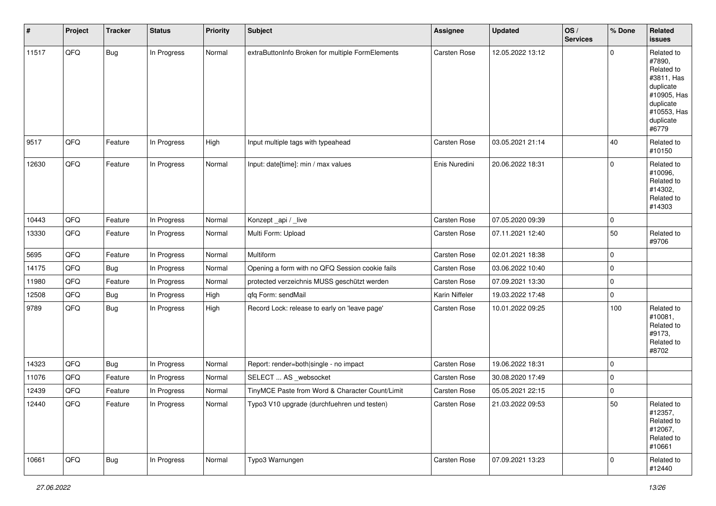| #     | Project | <b>Tracker</b> | <b>Status</b> | <b>Priority</b> | <b>Subject</b>                                   | <b>Assignee</b> | <b>Updated</b>   | OS/<br><b>Services</b> | % Done      | Related<br>issues                                                                                                              |
|-------|---------|----------------|---------------|-----------------|--------------------------------------------------|-----------------|------------------|------------------------|-------------|--------------------------------------------------------------------------------------------------------------------------------|
| 11517 | QFQ     | Bug            | In Progress   | Normal          | extraButtonInfo Broken for multiple FormElements | Carsten Rose    | 12.05.2022 13:12 |                        | $\mathbf 0$ | Related to<br>#7890,<br>Related to<br>#3811, Has<br>duplicate<br>#10905, Has<br>duplicate<br>#10553, Has<br>duplicate<br>#6779 |
| 9517  | QFQ     | Feature        | In Progress   | High            | Input multiple tags with typeahead               | Carsten Rose    | 03.05.2021 21:14 |                        | 40          | Related to<br>#10150                                                                                                           |
| 12630 | QFQ     | Feature        | In Progress   | Normal          | Input: date[time]: min / max values              | Enis Nuredini   | 20.06.2022 18:31 |                        | $\mathbf 0$ | Related to<br>#10096,<br>Related to<br>#14302,<br>Related to<br>#14303                                                         |
| 10443 | QFQ     | Feature        | In Progress   | Normal          | Konzept_api / _live                              | Carsten Rose    | 07.05.2020 09:39 |                        | $\mathbf 0$ |                                                                                                                                |
| 13330 | QFQ     | Feature        | In Progress   | Normal          | Multi Form: Upload                               | Carsten Rose    | 07.11.2021 12:40 |                        | 50          | Related to<br>#9706                                                                                                            |
| 5695  | QFQ     | Feature        | In Progress   | Normal          | Multiform                                        | Carsten Rose    | 02.01.2021 18:38 |                        | $\mathbf 0$ |                                                                                                                                |
| 14175 | QFQ     | <b>Bug</b>     | In Progress   | Normal          | Opening a form with no QFQ Session cookie fails  | Carsten Rose    | 03.06.2022 10:40 |                        | $\mathbf 0$ |                                                                                                                                |
| 11980 | QFQ     | Feature        | In Progress   | Normal          | protected verzeichnis MUSS geschützt werden      | Carsten Rose    | 07.09.2021 13:30 |                        | $\mathbf 0$ |                                                                                                                                |
| 12508 | QFQ     | <b>Bug</b>     | In Progress   | High            | qfq Form: sendMail                               | Karin Niffeler  | 19.03.2022 17:48 |                        | $\mathbf 0$ |                                                                                                                                |
| 9789  | QFQ     | Bug            | In Progress   | High            | Record Lock: release to early on 'leave page'    | Carsten Rose    | 10.01.2022 09:25 |                        | 100         | Related to<br>#10081,<br>Related to<br>#9173,<br>Related to<br>#8702                                                           |
| 14323 | QFQ     | Bug            | In Progress   | Normal          | Report: render=both single - no impact           | Carsten Rose    | 19.06.2022 18:31 |                        | $\mathbf 0$ |                                                                                                                                |
| 11076 | QFQ     | Feature        | In Progress   | Normal          | SELECT  AS _websocket                            | Carsten Rose    | 30.08.2020 17:49 |                        | 0           |                                                                                                                                |
| 12439 | QFQ     | Feature        | In Progress   | Normal          | TinyMCE Paste from Word & Character Count/Limit  | Carsten Rose    | 05.05.2021 22:15 |                        | $\mathbf 0$ |                                                                                                                                |
| 12440 | QFQ     | Feature        | In Progress   | Normal          | Typo3 V10 upgrade (durchfuehren und testen)      | Carsten Rose    | 21.03.2022 09:53 |                        | 50          | Related to<br>#12357,<br>Related to<br>#12067,<br>Related to<br>#10661                                                         |
| 10661 | QFG     | <b>Bug</b>     | In Progress   | Normal          | Typo3 Warnungen                                  | Carsten Rose    | 07.09.2021 13:23 |                        | $\mathbf 0$ | Related to<br>#12440                                                                                                           |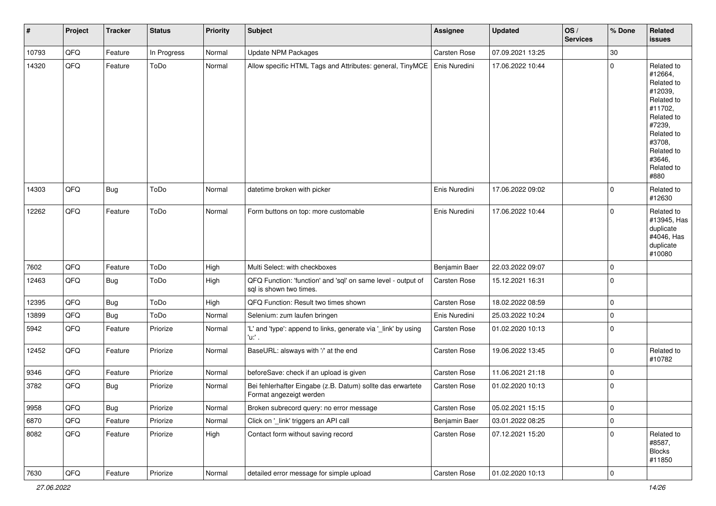| #     | Project    | <b>Tracker</b> | <b>Status</b> | <b>Priority</b> | <b>Subject</b>                                                                          | <b>Assignee</b> | <b>Updated</b>   | OS/<br><b>Services</b> | % Done         | Related<br><b>issues</b>                                                                                                                                              |
|-------|------------|----------------|---------------|-----------------|-----------------------------------------------------------------------------------------|-----------------|------------------|------------------------|----------------|-----------------------------------------------------------------------------------------------------------------------------------------------------------------------|
| 10793 | QFQ        | Feature        | In Progress   | Normal          | Update NPM Packages                                                                     | Carsten Rose    | 07.09.2021 13:25 |                        | 30             |                                                                                                                                                                       |
| 14320 | QFQ        | Feature        | ToDo          | Normal          | Allow specific HTML Tags and Attributes: general, TinyMCE                               | Enis Nuredini   | 17.06.2022 10:44 |                        | $\Omega$       | Related to<br>#12664,<br>Related to<br>#12039,<br>Related to<br>#11702,<br>Related to<br>#7239,<br>Related to<br>#3708,<br>Related to<br>#3646,<br>Related to<br>#880 |
| 14303 | QFQ        | Bug            | ToDo          | Normal          | datetime broken with picker                                                             | Enis Nuredini   | 17.06.2022 09:02 |                        | $\mathbf 0$    | Related to<br>#12630                                                                                                                                                  |
| 12262 | QFQ        | Feature        | ToDo          | Normal          | Form buttons on top: more customable                                                    | Enis Nuredini   | 17.06.2022 10:44 |                        | $\mathbf 0$    | Related to<br>#13945, Has<br>duplicate<br>#4046, Has<br>duplicate<br>#10080                                                                                           |
| 7602  | QFQ        | Feature        | ToDo          | High            | Multi Select: with checkboxes                                                           | Benjamin Baer   | 22.03.2022 09:07 |                        | 0              |                                                                                                                                                                       |
| 12463 | QFQ        | Bug            | ToDo          | High            | QFQ Function: 'function' and 'sql' on same level - output of<br>sql is shown two times. | Carsten Rose    | 15.12.2021 16:31 |                        | $\Omega$       |                                                                                                                                                                       |
| 12395 | QFQ        | Bug            | ToDo          | High            | QFQ Function: Result two times shown                                                    | Carsten Rose    | 18.02.2022 08:59 |                        | $\mathbf 0$    |                                                                                                                                                                       |
| 13899 | QFQ        | Bug            | ToDo          | Normal          | Selenium: zum laufen bringen                                                            | Enis Nuredini   | 25.03.2022 10:24 |                        | $\Omega$       |                                                                                                                                                                       |
| 5942  | QFQ        | Feature        | Priorize      | Normal          | 'L' and 'type': append to links, generate via '_link' by using<br>'u:' .                | Carsten Rose    | 01.02.2020 10:13 |                        | $\mathbf 0$    |                                                                                                                                                                       |
| 12452 | QFQ        | Feature        | Priorize      | Normal          | BaseURL: alsways with '/' at the end                                                    | Carsten Rose    | 19.06.2022 13:45 |                        | $\Omega$       | Related to<br>#10782                                                                                                                                                  |
| 9346  | QFQ        | Feature        | Priorize      | Normal          | beforeSave: check if an upload is given                                                 | Carsten Rose    | 11.06.2021 21:18 |                        | $\mathbf 0$    |                                                                                                                                                                       |
| 3782  | QFQ        | <b>Bug</b>     | Priorize      | Normal          | Bei fehlerhafter Eingabe (z.B. Datum) sollte das erwartete<br>Format angezeigt werden   | Carsten Rose    | 01.02.2020 10:13 |                        | 0              |                                                                                                                                                                       |
| 9958  | <b>QFQ</b> | Bug            | Priorize      | Normal          | Broken subrecord query: no error message                                                | Carsten Rose    | 05.02.2021 15:15 |                        | 0              |                                                                                                                                                                       |
| 6870  | QFQ        | Feature        | Priorize      | Normal          | Click on '_link' triggers an API call                                                   | Benjamin Baer   | 03.01.2022 08:25 |                        | 0              |                                                                                                                                                                       |
| 8082  | QFQ        | Feature        | Priorize      | High            | Contact form without saving record                                                      | Carsten Rose    | 07.12.2021 15:20 |                        | $\mathbf 0$    | Related to<br>#8587,<br><b>Blocks</b><br>#11850                                                                                                                       |
| 7630  | QFQ        | Feature        | Priorize      | Normal          | detailed error message for simple upload                                                | Carsten Rose    | 01.02.2020 10:13 |                        | $\overline{0}$ |                                                                                                                                                                       |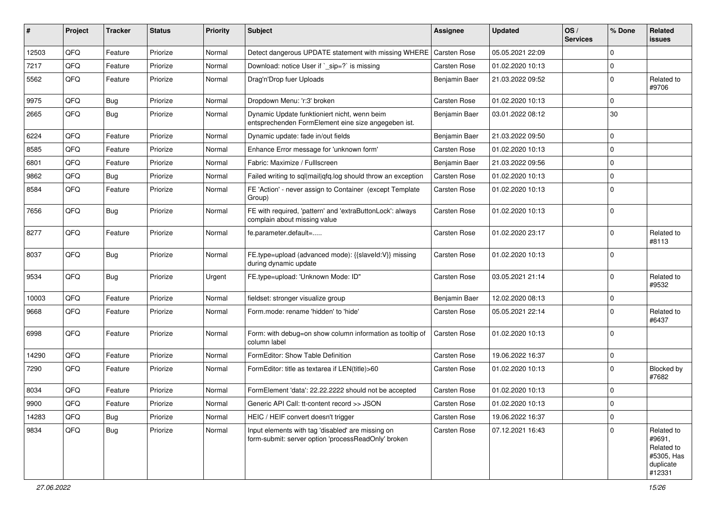| #     | Project | <b>Tracker</b> | <b>Status</b> | <b>Priority</b> | <b>Subject</b>                                                                                           | <b>Assignee</b>     | <b>Updated</b>   | OS/<br><b>Services</b> | % Done       | Related<br>issues                                                       |
|-------|---------|----------------|---------------|-----------------|----------------------------------------------------------------------------------------------------------|---------------------|------------------|------------------------|--------------|-------------------------------------------------------------------------|
| 12503 | QFQ     | Feature        | Priorize      | Normal          | Detect dangerous UPDATE statement with missing WHERE                                                     | <b>Carsten Rose</b> | 05.05.2021 22:09 |                        | $\Omega$     |                                                                         |
| 7217  | QFQ     | Feature        | Priorize      | Normal          | Download: notice User if `_sip=?` is missing                                                             | Carsten Rose        | 01.02.2020 10:13 |                        | $\mathbf 0$  |                                                                         |
| 5562  | QFQ     | Feature        | Priorize      | Normal          | Drag'n'Drop fuer Uploads                                                                                 | Benjamin Baer       | 21.03.2022 09:52 |                        | $\Omega$     | Related to<br>#9706                                                     |
| 9975  | QFQ     | Bug            | Priorize      | Normal          | Dropdown Menu: 'r:3' broken                                                                              | Carsten Rose        | 01.02.2020 10:13 |                        | $\Omega$     |                                                                         |
| 2665  | QFQ     | Bug            | Priorize      | Normal          | Dynamic Update funktioniert nicht, wenn beim<br>entsprechenden FormElement eine size angegeben ist.      | Benjamin Baer       | 03.01.2022 08:12 |                        | 30           |                                                                         |
| 6224  | QFQ     | Feature        | Priorize      | Normal          | Dynamic update: fade in/out fields                                                                       | Benjamin Baer       | 21.03.2022 09:50 |                        | $\Omega$     |                                                                         |
| 8585  | QFQ     | Feature        | Priorize      | Normal          | Enhance Error message for 'unknown form'                                                                 | Carsten Rose        | 01.02.2020 10:13 |                        | $\Omega$     |                                                                         |
| 6801  | QFQ     | Feature        | Priorize      | Normal          | Fabric: Maximize / FullIscreen                                                                           | Benjamin Baer       | 21.03.2022 09:56 |                        | $\Omega$     |                                                                         |
| 9862  | QFQ     | <b>Bug</b>     | Priorize      | Normal          | Failed writing to sql mail qfq.log should throw an exception                                             | Carsten Rose        | 01.02.2020 10:13 |                        | $\mathbf 0$  |                                                                         |
| 8584  | QFQ     | Feature        | Priorize      | Normal          | FE 'Action' - never assign to Container (except Template<br>Group)                                       | Carsten Rose        | 01.02.2020 10:13 |                        | $\Omega$     |                                                                         |
| 7656  | QFQ     | Bug            | Priorize      | Normal          | FE with required, 'pattern' and 'extraButtonLock': always<br>complain about missing value                | Carsten Rose        | 01.02.2020 10:13 |                        | $\Omega$     |                                                                         |
| 8277  | QFQ     | Feature        | Priorize      | Normal          | fe.parameter.default=                                                                                    | Carsten Rose        | 01.02.2020 23:17 |                        | $\Omega$     | Related to<br>#8113                                                     |
| 8037  | QFQ     | Bug            | Priorize      | Normal          | FE.type=upload (advanced mode): {{slaveld:V}} missing<br>during dynamic update                           | Carsten Rose        | 01.02.2020 10:13 |                        | $\mathbf 0$  |                                                                         |
| 9534  | QFQ     | Bug            | Priorize      | Urgent          | FE.type=upload: 'Unknown Mode: ID"                                                                       | Carsten Rose        | 03.05.2021 21:14 |                        | $\mathbf 0$  | Related to<br>#9532                                                     |
| 10003 | QFQ     | Feature        | Priorize      | Normal          | fieldset: stronger visualize group                                                                       | Benjamin Baer       | 12.02.2020 08:13 |                        | $\mathbf 0$  |                                                                         |
| 9668  | QFQ     | Feature        | Priorize      | Normal          | Form.mode: rename 'hidden' to 'hide'                                                                     | Carsten Rose        | 05.05.2021 22:14 |                        | $\Omega$     | Related to<br>#6437                                                     |
| 6998  | QFQ     | Feature        | Priorize      | Normal          | Form: with debug=on show column information as tooltip of<br>column label                                | Carsten Rose        | 01.02.2020 10:13 |                        | $\Omega$     |                                                                         |
| 14290 | QFQ     | Feature        | Priorize      | Normal          | FormEditor: Show Table Definition                                                                        | Carsten Rose        | 19.06.2022 16:37 |                        | $\mathbf 0$  |                                                                         |
| 7290  | QFQ     | Feature        | Priorize      | Normal          | FormEditor: title as textarea if LEN(title)>60                                                           | Carsten Rose        | 01.02.2020 10:13 |                        | $\Omega$     | Blocked by<br>#7682                                                     |
| 8034  | QFQ     | Feature        | Priorize      | Normal          | FormElement 'data': 22.22.2222 should not be accepted                                                    | Carsten Rose        | 01.02.2020 10:13 |                        | $\Omega$     |                                                                         |
| 9900  | QFQ     | Feature        | Priorize      | Normal          | Generic API Call: tt-content record >> JSON                                                              | Carsten Rose        | 01.02.2020 10:13 |                        | 0            |                                                                         |
| 14283 | QFQ     | <b>Bug</b>     | Priorize      | Normal          | HEIC / HEIF convert doesn't trigger                                                                      | Carsten Rose        | 19.06.2022 16:37 |                        | $\mathbf 0$  |                                                                         |
| 9834  | QFQ     | <b>Bug</b>     | Priorize      | Normal          | Input elements with tag 'disabled' are missing on<br>form-submit: server option 'processReadOnly' broken | Carsten Rose        | 07.12.2021 16:43 |                        | $\mathbf{0}$ | Related to<br>#9691,<br>Related to<br>#5305, Has<br>duplicate<br>#12331 |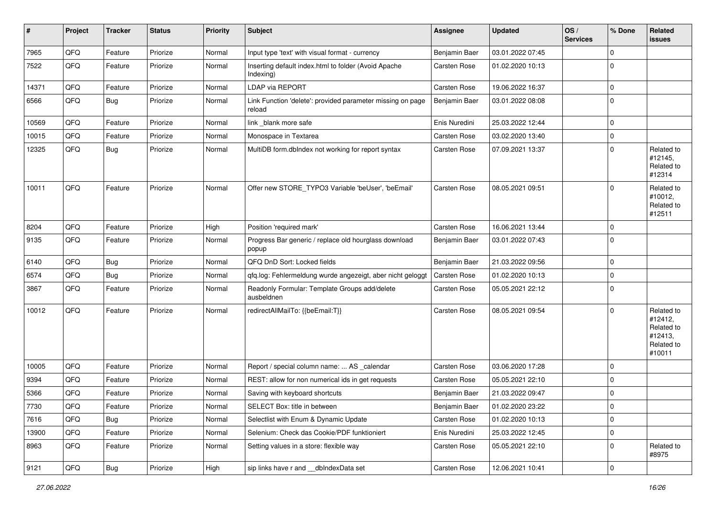| #     | Project | <b>Tracker</b> | <b>Status</b> | <b>Priority</b> | <b>Subject</b>                                                       | Assignee            | <b>Updated</b>   | OS/<br><b>Services</b> | % Done      | Related<br>issues                                                      |
|-------|---------|----------------|---------------|-----------------|----------------------------------------------------------------------|---------------------|------------------|------------------------|-------------|------------------------------------------------------------------------|
| 7965  | QFQ     | Feature        | Priorize      | Normal          | Input type 'text' with visual format - currency                      | Benjamin Baer       | 03.01.2022 07:45 |                        | $\Omega$    |                                                                        |
| 7522  | QFQ     | Feature        | Priorize      | Normal          | Inserting default index.html to folder (Avoid Apache<br>Indexing)    | Carsten Rose        | 01.02.2020 10:13 |                        | $\Omega$    |                                                                        |
| 14371 | QFQ     | Feature        | Priorize      | Normal          | LDAP via REPORT                                                      | Carsten Rose        | 19.06.2022 16:37 |                        | 0           |                                                                        |
| 6566  | QFQ     | <b>Bug</b>     | Priorize      | Normal          | Link Function 'delete': provided parameter missing on page<br>reload | Benjamin Baer       | 03.01.2022 08:08 |                        | $\Omega$    |                                                                        |
| 10569 | QFQ     | Feature        | Priorize      | Normal          | link _blank more safe                                                | Enis Nuredini       | 25.03.2022 12:44 |                        | $\mathbf 0$ |                                                                        |
| 10015 | QFQ     | Feature        | Priorize      | Normal          | Monospace in Textarea                                                | Carsten Rose        | 03.02.2020 13:40 |                        | $\mathbf 0$ |                                                                        |
| 12325 | QFQ     | <b>Bug</b>     | Priorize      | Normal          | MultiDB form.dblndex not working for report syntax                   | Carsten Rose        | 07.09.2021 13:37 |                        | 0           | Related to<br>#12145,<br>Related to<br>#12314                          |
| 10011 | QFQ     | Feature        | Priorize      | Normal          | Offer new STORE_TYPO3 Variable 'beUser', 'beEmail'                   | Carsten Rose        | 08.05.2021 09:51 |                        | 0           | Related to<br>#10012,<br>Related to<br>#12511                          |
| 8204  | QFQ     | Feature        | Priorize      | High            | Position 'required mark'                                             | Carsten Rose        | 16.06.2021 13:44 |                        | $\Omega$    |                                                                        |
| 9135  | QFQ     | Feature        | Priorize      | Normal          | Progress Bar generic / replace old hourglass download<br>popup       | Benjamin Baer       | 03.01.2022 07:43 |                        | $\Omega$    |                                                                        |
| 6140  | QFQ     | Bug            | Priorize      | Normal          | QFQ DnD Sort: Locked fields                                          | Benjamin Baer       | 21.03.2022 09:56 |                        | $\mathbf 0$ |                                                                        |
| 6574  | QFQ     | Bug            | Priorize      | Normal          | qfq.log: Fehlermeldung wurde angezeigt, aber nicht geloggt           | Carsten Rose        | 01.02.2020 10:13 |                        | $\mathbf 0$ |                                                                        |
| 3867  | QFQ     | Feature        | Priorize      | Normal          | Readonly Formular: Template Groups add/delete<br>ausbeldnen          | Carsten Rose        | 05.05.2021 22:12 |                        | 0           |                                                                        |
| 10012 | QFQ     | Feature        | Priorize      | Normal          | redirectAllMailTo: {{beEmail:T}}                                     | Carsten Rose        | 08.05.2021 09:54 |                        | $\Omega$    | Related to<br>#12412,<br>Related to<br>#12413,<br>Related to<br>#10011 |
| 10005 | QFQ     | Feature        | Priorize      | Normal          | Report / special column name:  AS _calendar                          | Carsten Rose        | 03.06.2020 17:28 |                        | $\Omega$    |                                                                        |
| 9394  | QFQ     | Feature        | Priorize      | Normal          | REST: allow for non numerical ids in get requests                    | Carsten Rose        | 05.05.2021 22:10 |                        | $\mathbf 0$ |                                                                        |
| 5366  | QFQ     | Feature        | Priorize      | Normal          | Saving with keyboard shortcuts                                       | Benjamin Baer       | 21.03.2022 09:47 |                        | $\Omega$    |                                                                        |
| 7730  | QFQ     | Feature        | Priorize      | Normal          | SELECT Box: title in between                                         | Benjamin Baer       | 01.02.2020 23:22 |                        | ∣ ()        |                                                                        |
| 7616  | QFQ     | <b>Bug</b>     | Priorize      | Normal          | Selectlist with Enum & Dynamic Update                                | Carsten Rose        | 01.02.2020 10:13 |                        | $\mathbf 0$ |                                                                        |
| 13900 | QFQ     | Feature        | Priorize      | Normal          | Selenium: Check das Cookie/PDF funktioniert                          | Enis Nuredini       | 25.03.2022 12:45 |                        | 0           |                                                                        |
| 8963  | QFQ     | Feature        | Priorize      | Normal          | Setting values in a store: flexible way                              | <b>Carsten Rose</b> | 05.05.2021 22:10 |                        | $\mathbf 0$ | Related to<br>#8975                                                    |
| 9121  | QFQ     | Bug            | Priorize      | High            | sip links have r and __dbIndexData set                               | <b>Carsten Rose</b> | 12.06.2021 10:41 |                        | 0           |                                                                        |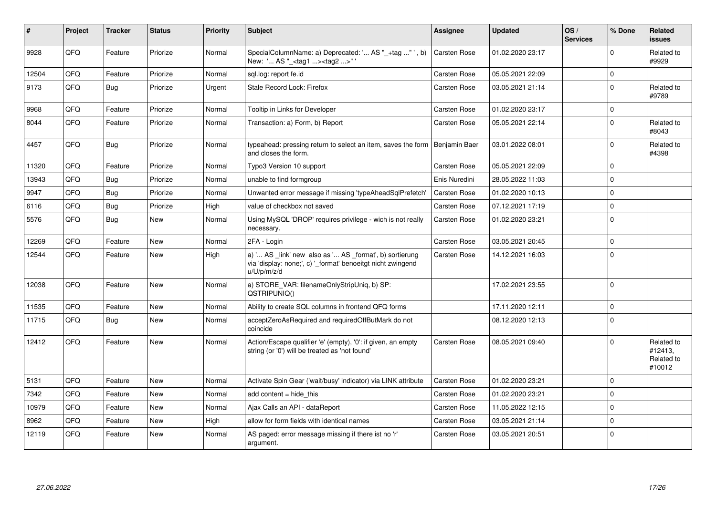| ∦     | Project | <b>Tracker</b> | <b>Status</b> | <b>Priority</b> | <b>Subject</b>                                                                                                                        | <b>Assignee</b>     | <b>Updated</b>   | OS/<br><b>Services</b> | % Done      | Related<br><b>issues</b>                      |
|-------|---------|----------------|---------------|-----------------|---------------------------------------------------------------------------------------------------------------------------------------|---------------------|------------------|------------------------|-------------|-----------------------------------------------|
| 9928  | QFQ     | Feature        | Priorize      | Normal          | SpecialColumnName: a) Deprecated: ' AS "_+tag "', b)<br>New: ' AS " <tag1><tag2>"'</tag2></tag1>                                      | Carsten Rose        | 01.02.2020 23:17 |                        | $\Omega$    | Related to<br>#9929                           |
| 12504 | QFQ     | Feature        | Priorize      | Normal          | sql.log: report fe.id                                                                                                                 | Carsten Rose        | 05.05.2021 22:09 |                        | $\mathbf 0$ |                                               |
| 9173  | QFQ     | Bug            | Priorize      | Urgent          | Stale Record Lock: Firefox                                                                                                            | Carsten Rose        | 03.05.2021 21:14 |                        | $\Omega$    | Related to<br>#9789                           |
| 9968  | QFQ     | Feature        | Priorize      | Normal          | Tooltip in Links for Developer                                                                                                        | Carsten Rose        | 01.02.2020 23:17 |                        | $\mathbf 0$ |                                               |
| 8044  | QFQ     | Feature        | Priorize      | Normal          | Transaction: a) Form, b) Report                                                                                                       | Carsten Rose        | 05.05.2021 22:14 |                        | $\mathbf 0$ | Related to<br>#8043                           |
| 4457  | QFQ     | Bug            | Priorize      | Normal          | typeahead: pressing return to select an item, saves the form<br>and closes the form.                                                  | Benjamin Baer       | 03.01.2022 08:01 |                        | $\Omega$    | Related to<br>#4398                           |
| 11320 | QFQ     | Feature        | Priorize      | Normal          | Typo3 Version 10 support                                                                                                              | Carsten Rose        | 05.05.2021 22:09 |                        | $\Omega$    |                                               |
| 13943 | QFQ     | Bug            | Priorize      | Normal          | unable to find formgroup                                                                                                              | Enis Nuredini       | 28.05.2022 11:03 |                        | $\mathbf 0$ |                                               |
| 9947  | QFQ     | <b>Bug</b>     | Priorize      | Normal          | Unwanted error message if missing 'typeAheadSqlPrefetch'                                                                              | Carsten Rose        | 01.02.2020 10:13 |                        | $\Omega$    |                                               |
| 6116  | QFQ     | Bug            | Priorize      | High            | value of checkbox not saved                                                                                                           | Carsten Rose        | 07.12.2021 17:19 |                        | $\mathbf 0$ |                                               |
| 5576  | QFQ     | Bug            | New           | Normal          | Using MySQL 'DROP' requires privilege - wich is not really<br>necessary.                                                              | Carsten Rose        | 01.02.2020 23:21 |                        | $\mathbf 0$ |                                               |
| 12269 | QFQ     | Feature        | <b>New</b>    | Normal          | 2FA - Login                                                                                                                           | Carsten Rose        | 03.05.2021 20:45 |                        | $\Omega$    |                                               |
| 12544 | QFQ     | Feature        | <b>New</b>    | High            | a) ' AS _link' new also as ' AS _format', b) sortierung<br>via 'display: none;', c) '_format' benoeitgt nicht zwingend<br>u/U/p/m/z/d | Carsten Rose        | 14.12.2021 16:03 |                        | $\Omega$    |                                               |
| 12038 | QFQ     | Feature        | <b>New</b>    | Normal          | a) STORE_VAR: filenameOnlyStripUniq, b) SP:<br>QSTRIPUNIQ()                                                                           |                     | 17.02.2021 23:55 |                        | 0           |                                               |
| 11535 | QFQ     | Feature        | <b>New</b>    | Normal          | Ability to create SQL columns in frontend QFQ forms                                                                                   |                     | 17.11.2020 12:11 |                        | $\mathbf 0$ |                                               |
| 11715 | QFQ     | Bug            | <b>New</b>    | Normal          | acceptZeroAsRequired and requiredOffButMark do not<br>coincide                                                                        |                     | 08.12.2020 12:13 |                        | $\Omega$    |                                               |
| 12412 | QFQ     | Feature        | <b>New</b>    | Normal          | Action/Escape qualifier 'e' (empty), '0': if given, an empty<br>string (or '0') will be treated as 'not found'                        | <b>Carsten Rose</b> | 08.05.2021 09:40 |                        | $\Omega$    | Related to<br>#12413,<br>Related to<br>#10012 |
| 5131  | QFQ     | Feature        | <b>New</b>    | Normal          | Activate Spin Gear ('wait/busy' indicator) via LINK attribute                                                                         | <b>Carsten Rose</b> | 01.02.2020 23:21 |                        | $\Omega$    |                                               |
| 7342  | QFQ     | Feature        | <b>New</b>    | Normal          | add content = hide this                                                                                                               | Carsten Rose        | 01.02.2020 23:21 |                        | $\Omega$    |                                               |
| 10979 | QFQ     | Feature        | <b>New</b>    | Normal          | Ajax Calls an API - dataReport                                                                                                        | Carsten Rose        | 11.05.2022 12:15 |                        | $\mathbf 0$ |                                               |
| 8962  | QFQ     | Feature        | <b>New</b>    | High            | allow for form fields with identical names                                                                                            | Carsten Rose        | 03.05.2021 21:14 |                        | $\Omega$    |                                               |
| 12119 | QFQ     | Feature        | <b>New</b>    | Normal          | AS paged: error message missing if there ist no 'r'<br>argument.                                                                      | Carsten Rose        | 03.05.2021 20:51 |                        | $\mathbf 0$ |                                               |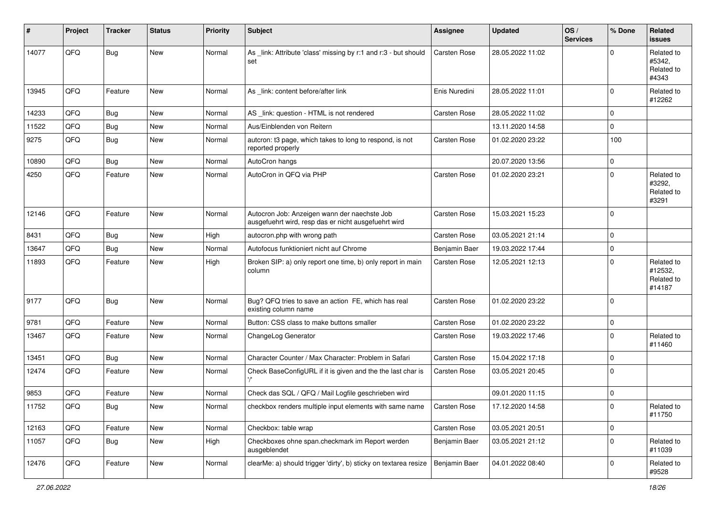| #     | Project | <b>Tracker</b> | <b>Status</b> | <b>Priority</b> | <b>Subject</b>                                                                                       | <b>Assignee</b>     | <b>Updated</b>   | OS/<br><b>Services</b> | % Done      | Related<br>issues                             |
|-------|---------|----------------|---------------|-----------------|------------------------------------------------------------------------------------------------------|---------------------|------------------|------------------------|-------------|-----------------------------------------------|
| 14077 | QFQ     | <b>Bug</b>     | New           | Normal          | As _link: Attribute 'class' missing by r:1 and r:3 - but should<br>set                               | Carsten Rose        | 28.05.2022 11:02 |                        | $\Omega$    | Related to<br>#5342,<br>Related to<br>#4343   |
| 13945 | QFQ     | Feature        | New           | Normal          | As _link: content before/after link                                                                  | Enis Nuredini       | 28.05.2022 11:01 |                        | $\mathbf 0$ | Related to<br>#12262                          |
| 14233 | QFQ     | Bug            | New           | Normal          | AS_link: question - HTML is not rendered                                                             | Carsten Rose        | 28.05.2022 11:02 |                        | $\mathbf 0$ |                                               |
| 11522 | QFQ     | <b>Bug</b>     | New           | Normal          | Aus/Einblenden von Reitern                                                                           |                     | 13.11.2020 14:58 |                        | $\mathbf 0$ |                                               |
| 9275  | QFQ     | <b>Bug</b>     | New           | Normal          | autcron: t3 page, which takes to long to respond, is not<br>reported properly                        | Carsten Rose        | 01.02.2020 23:22 |                        | 100         |                                               |
| 10890 | QFQ     | Bug            | New           | Normal          | AutoCron hangs                                                                                       |                     | 20.07.2020 13:56 |                        | $\mathbf 0$ |                                               |
| 4250  | QFQ     | Feature        | New           | Normal          | AutoCron in QFQ via PHP                                                                              | Carsten Rose        | 01.02.2020 23:21 |                        | $\mathbf 0$ | Related to<br>#3292,<br>Related to<br>#3291   |
| 12146 | QFQ     | Feature        | New           | Normal          | Autocron Job: Anzeigen wann der naechste Job<br>ausgefuehrt wird, resp das er nicht ausgefuehrt wird | Carsten Rose        | 15.03.2021 15:23 |                        | $\mathbf 0$ |                                               |
| 8431  | QFQ     | Bug            | New           | High            | autocron.php with wrong path                                                                         | <b>Carsten Rose</b> | 03.05.2021 21:14 |                        | $\mathbf 0$ |                                               |
| 13647 | QFQ     | Bug            | New           | Normal          | Autofocus funktioniert nicht auf Chrome                                                              | Benjamin Baer       | 19.03.2022 17:44 |                        | $\mathbf 0$ |                                               |
| 11893 | QFQ     | Feature        | New           | High            | Broken SIP: a) only report one time, b) only report in main<br>column                                | Carsten Rose        | 12.05.2021 12:13 |                        | $\mathbf 0$ | Related to<br>#12532,<br>Related to<br>#14187 |
| 9177  | QFQ     | Bug            | New           | Normal          | Bug? QFQ tries to save an action FE, which has real<br>existing column name                          | <b>Carsten Rose</b> | 01.02.2020 23:22 |                        | $\mathbf 0$ |                                               |
| 9781  | QFQ     | Feature        | New           | Normal          | Button: CSS class to make buttons smaller                                                            | <b>Carsten Rose</b> | 01.02.2020 23:22 |                        | $\mathbf 0$ |                                               |
| 13467 | QFQ     | Feature        | New           | Normal          | ChangeLog Generator                                                                                  | Carsten Rose        | 19.03.2022 17:46 |                        | $\mathbf 0$ | Related to<br>#11460                          |
| 13451 | QFQ     | Bug            | New           | Normal          | Character Counter / Max Character: Problem in Safari                                                 | Carsten Rose        | 15.04.2022 17:18 |                        | $\mathbf 0$ |                                               |
| 12474 | QFQ     | Feature        | New           | Normal          | Check BaseConfigURL if it is given and the the last char is                                          | <b>Carsten Rose</b> | 03.05.2021 20:45 |                        | $\mathbf 0$ |                                               |
| 9853  | QFQ     | Feature        | New           | Normal          | Check das SQL / QFQ / Mail Logfile geschrieben wird                                                  |                     | 09.01.2020 11:15 |                        | $\mathbf 0$ |                                               |
| 11752 | QFQ     | Bug            | New           | Normal          | checkbox renders multiple input elements with same name                                              | Carsten Rose        | 17.12.2020 14:58 |                        | 0           | Related to<br>#11750                          |
| 12163 | QFQ     | Feature        | New           | Normal          | Checkbox: table wrap                                                                                 | Carsten Rose        | 03.05.2021 20:51 |                        | $\mathbf 0$ |                                               |
| 11057 | QFQ     | <b>Bug</b>     | New           | High            | Checkboxes ohne span.checkmark im Report werden<br>ausgeblendet                                      | Benjamin Baer       | 03.05.2021 21:12 |                        | $\mathbf 0$ | Related to<br>#11039                          |
| 12476 | QFQ     | Feature        | New           | Normal          | clearMe: a) should trigger 'dirty', b) sticky on textarea resize                                     | Benjamin Baer       | 04.01.2022 08:40 |                        | $\mathbf 0$ | Related to<br>#9528                           |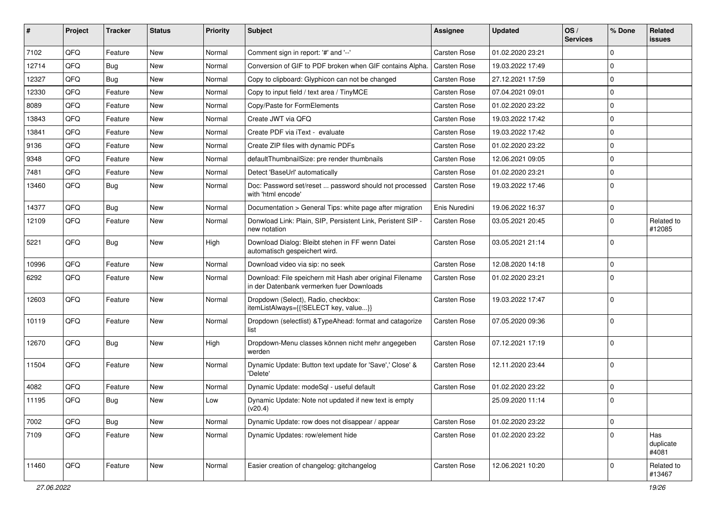| #     | Project | <b>Tracker</b> | <b>Status</b> | <b>Priority</b> | <b>Subject</b>                                                                                        | Assignee            | <b>Updated</b>   | OS/<br><b>Services</b> | % Done      | Related<br><b>issues</b>  |
|-------|---------|----------------|---------------|-----------------|-------------------------------------------------------------------------------------------------------|---------------------|------------------|------------------------|-------------|---------------------------|
| 7102  | QFQ     | Feature        | New           | Normal          | Comment sign in report: '#' and '--'                                                                  | <b>Carsten Rose</b> | 01.02.2020 23:21 |                        | $\Omega$    |                           |
| 12714 | QFQ     | <b>Bug</b>     | New           | Normal          | Conversion of GIF to PDF broken when GIF contains Alpha.                                              | <b>Carsten Rose</b> | 19.03.2022 17:49 |                        | $\mathbf 0$ |                           |
| 12327 | QFQ     | Bug            | New           | Normal          | Copy to clipboard: Glyphicon can not be changed                                                       | <b>Carsten Rose</b> | 27.12.2021 17:59 |                        | 0           |                           |
| 12330 | QFQ     | Feature        | New           | Normal          | Copy to input field / text area / TinyMCE                                                             | <b>Carsten Rose</b> | 07.04.2021 09:01 |                        | 0           |                           |
| 8089  | QFQ     | Feature        | New           | Normal          | Copy/Paste for FormElements                                                                           | <b>Carsten Rose</b> | 01.02.2020 23:22 |                        | $\mathbf 0$ |                           |
| 13843 | QFQ     | Feature        | New           | Normal          | Create JWT via QFQ                                                                                    | <b>Carsten Rose</b> | 19.03.2022 17:42 |                        | $\Omega$    |                           |
| 13841 | QFQ     | Feature        | New           | Normal          | Create PDF via iText - evaluate                                                                       | <b>Carsten Rose</b> | 19.03.2022 17:42 |                        | $\mathbf 0$ |                           |
| 9136  | QFQ     | Feature        | New           | Normal          | Create ZIP files with dynamic PDFs                                                                    | <b>Carsten Rose</b> | 01.02.2020 23:22 |                        | $\Omega$    |                           |
| 9348  | QFQ     | Feature        | New           | Normal          | defaultThumbnailSize: pre render thumbnails                                                           | <b>Carsten Rose</b> | 12.06.2021 09:05 |                        | 0           |                           |
| 7481  | QFQ     | Feature        | New           | Normal          | Detect 'BaseUrl' automatically                                                                        | <b>Carsten Rose</b> | 01.02.2020 23:21 |                        | $\mathbf 0$ |                           |
| 13460 | QFQ     | Bug            | New           | Normal          | Doc: Password set/reset  password should not processed<br>with 'html encode'                          | <b>Carsten Rose</b> | 19.03.2022 17:46 |                        | $\mathbf 0$ |                           |
| 14377 | QFQ     | Bug            | New           | Normal          | Documentation > General Tips: white page after migration                                              | Enis Nuredini       | 19.06.2022 16:37 |                        | 0           |                           |
| 12109 | QFQ     | Feature        | New           | Normal          | Donwload Link: Plain, SIP, Persistent Link, Peristent SIP -<br>new notation                           | <b>Carsten Rose</b> | 03.05.2021 20:45 |                        | $\Omega$    | Related to<br>#12085      |
| 5221  | QFQ     | Bug            | New           | High            | Download Dialog: Bleibt stehen in FF wenn Datei<br>automatisch gespeichert wird.                      | <b>Carsten Rose</b> | 03.05.2021 21:14 |                        | $\Omega$    |                           |
| 10996 | QFQ     | Feature        | New           | Normal          | Download video via sip: no seek                                                                       | <b>Carsten Rose</b> | 12.08.2020 14:18 |                        | $\mathbf 0$ |                           |
| 6292  | QFQ     | Feature        | New           | Normal          | Download: File speichern mit Hash aber original Filename<br>in der Datenbank vermerken fuer Downloads | <b>Carsten Rose</b> | 01.02.2020 23:21 |                        | $\Omega$    |                           |
| 12603 | QFQ     | Feature        | New           | Normal          | Dropdown (Select), Radio, checkbox:<br>itemListAlways={{!SELECT key, value}}                          | <b>Carsten Rose</b> | 19.03.2022 17:47 |                        | $\Omega$    |                           |
| 10119 | QFQ     | Feature        | New           | Normal          | Dropdown (selectlist) & TypeAhead: format and catagorize<br>list                                      | <b>Carsten Rose</b> | 07.05.2020 09:36 |                        | $\Omega$    |                           |
| 12670 | QFQ     | Bug            | New           | High            | Dropdown-Menu classes können nicht mehr angegeben<br>werden                                           | <b>Carsten Rose</b> | 07.12.2021 17:19 |                        | $\Omega$    |                           |
| 11504 | QFQ     | Feature        | New           | Normal          | Dynamic Update: Button text update for 'Save',' Close' &<br>'Delete'                                  | <b>Carsten Rose</b> | 12.11.2020 23:44 |                        | $\Omega$    |                           |
| 4082  | QFQ     | Feature        | New           | Normal          | Dynamic Update: modeSql - useful default                                                              | <b>Carsten Rose</b> | 01.02.2020 23:22 |                        | $\mathbf 0$ |                           |
| 11195 | QFQ     | Bug            | New           | Low             | Dynamic Update: Note not updated if new text is empty<br>(v20.4)                                      |                     | 25.09.2020 11:14 |                        | 0           |                           |
| 7002  | QFQ     | Bug            | New           | Normal          | Dynamic Update: row does not disappear / appear                                                       | <b>Carsten Rose</b> | 01.02.2020 23:22 |                        | $\mathbf 0$ |                           |
| 7109  | QFQ     | Feature        | New           | Normal          | Dynamic Updates: row/element hide                                                                     | Carsten Rose        | 01.02.2020 23:22 |                        | $\Omega$    | Has<br>duplicate<br>#4081 |
| 11460 | QFQ     | Feature        | New           | Normal          | Easier creation of changelog: gitchangelog                                                            | Carsten Rose        | 12.06.2021 10:20 |                        | 0           | Related to<br>#13467      |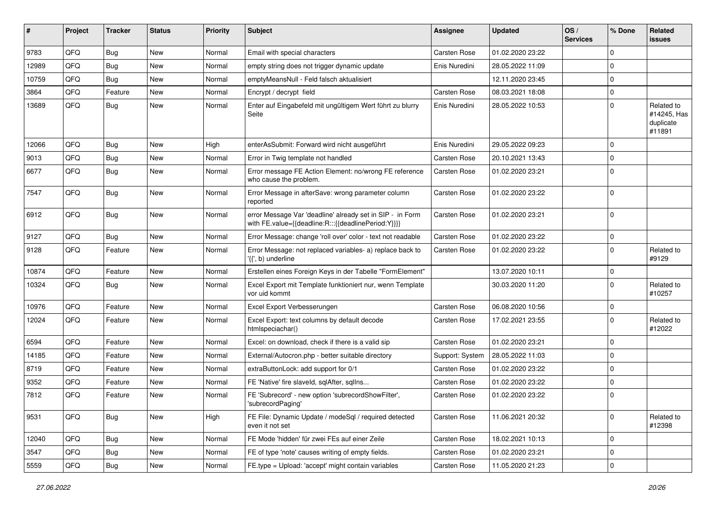| #     | Project | <b>Tracker</b> | <b>Status</b> | <b>Priority</b> | Subject                                                                                                          | <b>Assignee</b>     | <b>Updated</b>   | OS/<br><b>Services</b> | % Done      | Related<br><b>issues</b>                         |
|-------|---------|----------------|---------------|-----------------|------------------------------------------------------------------------------------------------------------------|---------------------|------------------|------------------------|-------------|--------------------------------------------------|
| 9783  | QFQ     | Bug            | New           | Normal          | Email with special characters                                                                                    | <b>Carsten Rose</b> | 01.02.2020 23:22 |                        | $\mathbf 0$ |                                                  |
| 12989 | QFQ     | Bug            | New           | Normal          | empty string does not trigger dynamic update                                                                     | Enis Nuredini       | 28.05.2022 11:09 |                        | $\mathbf 0$ |                                                  |
| 10759 | QFQ     | Bug            | New           | Normal          | emptyMeansNull - Feld falsch aktualisiert                                                                        |                     | 12.11.2020 23:45 |                        | 0           |                                                  |
| 3864  | QFQ     | Feature        | New           | Normal          | Encrypt / decrypt field                                                                                          | Carsten Rose        | 08.03.2021 18:08 |                        | 0           |                                                  |
| 13689 | QFQ     | Bug            | New           | Normal          | Enter auf Eingabefeld mit ungültigem Wert führt zu blurry<br>Seite                                               | Enis Nuredini       | 28.05.2022 10:53 |                        | $\mathbf 0$ | Related to<br>#14245, Has<br>duplicate<br>#11891 |
| 12066 | QFQ     | <b>Bug</b>     | <b>New</b>    | High            | enterAsSubmit: Forward wird nicht ausgeführt                                                                     | Enis Nuredini       | 29.05.2022 09:23 |                        | 0           |                                                  |
| 9013  | QFQ     | Bug            | New           | Normal          | Error in Twig template not handled                                                                               | Carsten Rose        | 20.10.2021 13:43 |                        | 0           |                                                  |
| 6677  | QFQ     | Bug            | New           | Normal          | Error message FE Action Element: no/wrong FE reference<br>who cause the problem.                                 | Carsten Rose        | 01.02.2020 23:21 |                        | 0           |                                                  |
| 7547  | QFQ     | <b>Bug</b>     | New           | Normal          | Error Message in afterSave: wrong parameter column<br>reported                                                   | Carsten Rose        | 01.02.2020 23:22 |                        | $\Omega$    |                                                  |
| 6912  | QFQ     | Bug            | New           | Normal          | error Message Var 'deadline' already set in SIP - in Form<br>with FE.value={{deadline:R:::{{deadlinePeriod:Y}}}} | Carsten Rose        | 01.02.2020 23:21 |                        | 0           |                                                  |
| 9127  | QFQ     | <b>Bug</b>     | <b>New</b>    | Normal          | Error Message: change 'roll over' color - text not readable                                                      | <b>Carsten Rose</b> | 01.02.2020 23:22 |                        | 0           |                                                  |
| 9128  | QFQ     | Feature        | New           | Normal          | Error Message: not replaced variables- a) replace back to<br>'{{', b) underline                                  | Carsten Rose        | 01.02.2020 23:22 |                        | 0           | Related to<br>#9129                              |
| 10874 | QFQ     | Feature        | New           | Normal          | Erstellen eines Foreign Keys in der Tabelle "FormElement"                                                        |                     | 13.07.2020 10:11 |                        | 0           |                                                  |
| 10324 | QFQ     | Bug            | New           | Normal          | Excel Export mit Template funktioniert nur, wenn Template<br>vor uid kommt                                       |                     | 30.03.2020 11:20 |                        | 0           | Related to<br>#10257                             |
| 10976 | QFQ     | Feature        | <b>New</b>    | Normal          | Excel Export Verbesserungen                                                                                      | <b>Carsten Rose</b> | 06.08.2020 10:56 |                        | 0           |                                                  |
| 12024 | QFQ     | Feature        | New           | Normal          | Excel Export: text columns by default decode<br>htmlspeciachar()                                                 | Carsten Rose        | 17.02.2021 23:55 |                        | $\mathbf 0$ | Related to<br>#12022                             |
| 6594  | QFQ     | Feature        | New           | Normal          | Excel: on download, check if there is a valid sip                                                                | Carsten Rose        | 01.02.2020 23:21 |                        | 0           |                                                  |
| 14185 | QFQ     | Feature        | New           | Normal          | External/Autocron.php - better suitable directory                                                                | Support: System     | 28.05.2022 11:03 |                        | 0           |                                                  |
| 8719  | QFQ     | Feature        | New           | Normal          | extraButtonLock: add support for 0/1                                                                             | <b>Carsten Rose</b> | 01.02.2020 23:22 |                        | $\mathbf 0$ |                                                  |
| 9352  | QFQ     | Feature        | New           | Normal          | FE 'Native' fire slaveld, sqlAfter, sqlIns                                                                       | Carsten Rose        | 01.02.2020 23:22 |                        | 0           |                                                  |
| 7812  | QFQ     | Feature        | New           | Normal          | FE 'Subrecord' - new option 'subrecordShowFilter',<br>'subrecordPaging'                                          | Carsten Rose        | 01.02.2020 23:22 |                        | 0           |                                                  |
| 9531  | QFQ     | Bug            | New           | High            | FE File: Dynamic Update / modeSql / required detected<br>even it not set                                         | Carsten Rose        | 11.06.2021 20:32 |                        | 0           | Related to<br>#12398                             |
| 12040 | QFQ     | <b>Bug</b>     | New           | Normal          | FE Mode 'hidden' für zwei FEs auf einer Zeile                                                                    | Carsten Rose        | 18.02.2021 10:13 |                        | 0           |                                                  |
| 3547  | QFQ     | <b>Bug</b>     | New           | Normal          | FE of type 'note' causes writing of empty fields.                                                                | Carsten Rose        | 01.02.2020 23:21 |                        | 0           |                                                  |
| 5559  | QFQ     | <b>Bug</b>     | New           | Normal          | FE.type = Upload: 'accept' might contain variables                                                               | Carsten Rose        | 11.05.2020 21:23 |                        | 0           |                                                  |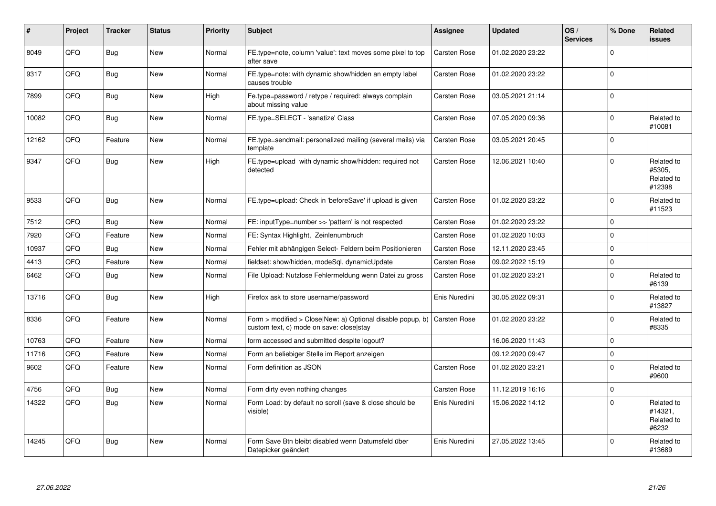| #     | Project | <b>Tracker</b> | <b>Status</b> | <b>Priority</b> | <b>Subject</b>                                                                                         | <b>Assignee</b>     | <b>Updated</b>   | OS/<br><b>Services</b> | % Done      | <b>Related</b><br><b>issues</b>              |
|-------|---------|----------------|---------------|-----------------|--------------------------------------------------------------------------------------------------------|---------------------|------------------|------------------------|-------------|----------------------------------------------|
| 8049  | QFQ     | <b>Bug</b>     | New           | Normal          | FE.type=note, column 'value': text moves some pixel to top<br>after save                               | Carsten Rose        | 01.02.2020 23:22 |                        | $\mathbf 0$ |                                              |
| 9317  | QFQ     | <b>Bug</b>     | New           | Normal          | FE.type=note: with dynamic show/hidden an empty label<br>causes trouble                                | Carsten Rose        | 01.02.2020 23:22 |                        | $\mathbf 0$ |                                              |
| 7899  | QFQ     | Bug            | New           | High            | Fe.type=password / retype / required: always complain<br>about missing value                           | Carsten Rose        | 03.05.2021 21:14 |                        | $\mathbf 0$ |                                              |
| 10082 | QFQ     | Bug            | New           | Normal          | FE.type=SELECT - 'sanatize' Class                                                                      | Carsten Rose        | 07.05.2020 09:36 |                        | $\mathbf 0$ | Related to<br>#10081                         |
| 12162 | QFQ     | Feature        | New           | Normal          | FE.type=sendmail: personalized mailing (several mails) via<br>template                                 | <b>Carsten Rose</b> | 03.05.2021 20:45 |                        | $\mathbf 0$ |                                              |
| 9347  | QFQ     | Bug            | <b>New</b>    | High            | FE.type=upload with dynamic show/hidden: required not<br>detected                                      | Carsten Rose        | 12.06.2021 10:40 |                        | $\Omega$    | Related to<br>#5305,<br>Related to<br>#12398 |
| 9533  | QFQ     | Bug            | New           | Normal          | FE.type=upload: Check in 'beforeSave' if upload is given                                               | <b>Carsten Rose</b> | 01.02.2020 23:22 |                        | $\mathbf 0$ | Related to<br>#11523                         |
| 7512  | QFQ     | Bug            | New           | Normal          | FE: inputType=number >> 'pattern' is not respected                                                     | Carsten Rose        | 01.02.2020 23:22 |                        | $\mathbf 0$ |                                              |
| 7920  | QFQ     | Feature        | New           | Normal          | FE: Syntax Highlight, Zeinlenumbruch                                                                   | <b>Carsten Rose</b> | 01.02.2020 10:03 |                        | $\mathbf 0$ |                                              |
| 10937 | QFQ     | Bug            | New           | Normal          | Fehler mit abhängigen Select- Feldern beim Positionieren                                               | <b>Carsten Rose</b> | 12.11.2020 23:45 |                        | $\mathbf 0$ |                                              |
| 4413  | QFQ     | Feature        | New           | Normal          | fieldset: show/hidden, modeSql, dynamicUpdate                                                          | Carsten Rose        | 09.02.2022 15:19 |                        | $\mathbf 0$ |                                              |
| 6462  | QFQ     | Bug            | New           | Normal          | File Upload: Nutzlose Fehlermeldung wenn Datei zu gross                                                | Carsten Rose        | 01.02.2020 23:21 |                        | $\mathbf 0$ | Related to<br>#6139                          |
| 13716 | QFQ     | Bug            | New           | High            | Firefox ask to store username/password                                                                 | Enis Nuredini       | 30.05.2022 09:31 |                        | $\Omega$    | Related to<br>#13827                         |
| 8336  | QFQ     | Feature        | New           | Normal          | Form > modified > Close New: a) Optional disable popup, b)<br>custom text, c) mode on save: close stay | Carsten Rose        | 01.02.2020 23:22 |                        | $\Omega$    | Related to<br>#8335                          |
| 10763 | QFQ     | Feature        | <b>New</b>    | Normal          | form accessed and submitted despite logout?                                                            |                     | 16.06.2020 11:43 |                        | $\mathbf 0$ |                                              |
| 11716 | QFQ     | Feature        | New           | Normal          | Form an beliebiger Stelle im Report anzeigen                                                           |                     | 09.12.2020 09:47 |                        | $\mathbf 0$ |                                              |
| 9602  | QFQ     | Feature        | New           | Normal          | Form definition as JSON                                                                                | Carsten Rose        | 01.02.2020 23:21 |                        | $\mathbf 0$ | Related to<br>#9600                          |
| 4756  | QFQ     | Bug            | <b>New</b>    | Normal          | Form dirty even nothing changes                                                                        | Carsten Rose        | 11.12.2019 16:16 |                        | $\mathbf 0$ |                                              |
| 14322 | QFQ     | Bug            | <b>New</b>    | Normal          | Form Load: by default no scroll (save & close should be<br>visible)                                    | Enis Nuredini       | 15.06.2022 14:12 |                        | $\Omega$    | Related to<br>#14321,<br>Related to<br>#6232 |
| 14245 | QFQ     | <b>Bug</b>     | <b>New</b>    | Normal          | Form Save Btn bleibt disabled wenn Datumsfeld über<br>Datepicker geändert                              | Enis Nuredini       | 27.05.2022 13:45 |                        | $\Omega$    | Related to<br>#13689                         |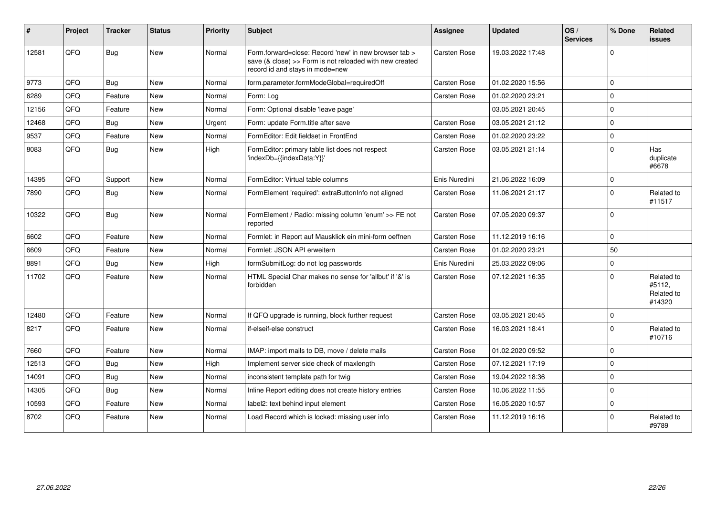| #     | Project    | <b>Tracker</b> | <b>Status</b> | <b>Priority</b> | Subject                                                                                                                                             | Assignee            | <b>Updated</b>   | OS/<br><b>Services</b> | % Done   | Related<br>issues                            |
|-------|------------|----------------|---------------|-----------------|-----------------------------------------------------------------------------------------------------------------------------------------------------|---------------------|------------------|------------------------|----------|----------------------------------------------|
| 12581 | QFQ        | <b>Bug</b>     | <b>New</b>    | Normal          | Form.forward=close: Record 'new' in new browser tab ><br>save (& close) >> Form is not reloaded with new created<br>record id and stays in mode=new | Carsten Rose        | 19.03.2022 17:48 |                        | $\Omega$ |                                              |
| 9773  | QFQ        | Bug            | <b>New</b>    | Normal          | form.parameter.formModeGlobal=requiredOff                                                                                                           | Carsten Rose        | 01.02.2020 15:56 |                        | $\Omega$ |                                              |
| 6289  | QFQ        | Feature        | <b>New</b>    | Normal          | Form: Log                                                                                                                                           | Carsten Rose        | 01.02.2020 23:21 |                        | $\Omega$ |                                              |
| 12156 | QFQ        | Feature        | <b>New</b>    | Normal          | Form: Optional disable 'leave page'                                                                                                                 |                     | 03.05.2021 20:45 |                        | $\Omega$ |                                              |
| 12468 | QFQ        | Bug            | <b>New</b>    | Urgent          | Form: update Form.title after save                                                                                                                  | Carsten Rose        | 03.05.2021 21:12 |                        | $\Omega$ |                                              |
| 9537  | QFQ        | Feature        | <b>New</b>    | Normal          | FormEditor: Edit fieldset in FrontEnd                                                                                                               | Carsten Rose        | 01.02.2020 23:22 |                        | $\Omega$ |                                              |
| 8083  | QFQ        | Bug            | <b>New</b>    | High            | FormEditor: primary table list does not respect<br>'indexDb={{indexData:Y}}'                                                                        | <b>Carsten Rose</b> | 03.05.2021 21:14 |                        | $\Omega$ | Has<br>duplicate<br>#6678                    |
| 14395 | <b>OFO</b> | Support        | <b>New</b>    | Normal          | FormEditor: Virtual table columns                                                                                                                   | Enis Nuredini       | 21.06.2022 16:09 |                        | $\Omega$ |                                              |
| 7890  | QFQ        | Bug            | <b>New</b>    | Normal          | FormElement 'required': extraButtonInfo not aligned                                                                                                 | <b>Carsten Rose</b> | 11.06.2021 21:17 |                        | $\Omega$ | Related to<br>#11517                         |
| 10322 | QFQ        | Bug            | <b>New</b>    | Normal          | FormElement / Radio: missing column 'enum' >> FE not<br>reported                                                                                    | <b>Carsten Rose</b> | 07.05.2020 09:37 |                        | $\Omega$ |                                              |
| 6602  | QFQ        | Feature        | <b>New</b>    | Normal          | Formlet: in Report auf Mausklick ein mini-form oeffnen                                                                                              | Carsten Rose        | 11.12.2019 16:16 |                        | $\Omega$ |                                              |
| 6609  | QFQ        | Feature        | <b>New</b>    | Normal          | Formlet: JSON API erweitern                                                                                                                         | Carsten Rose        | 01.02.2020 23:21 |                        | 50       |                                              |
| 8891  | QFQ        | Bug            | <b>New</b>    | High            | formSubmitLog: do not log passwords                                                                                                                 | Enis Nuredini       | 25.03.2022 09:06 |                        | $\Omega$ |                                              |
| 11702 | QFQ        | Feature        | <b>New</b>    | Normal          | HTML Special Char makes no sense for 'allbut' if '&' is<br>forbidden                                                                                | Carsten Rose        | 07.12.2021 16:35 |                        | $\Omega$ | Related to<br>#5112,<br>Related to<br>#14320 |
| 12480 | QFQ        | Feature        | <b>New</b>    | Normal          | If QFQ upgrade is running, block further request                                                                                                    | Carsten Rose        | 03.05.2021 20:45 |                        | $\Omega$ |                                              |
| 8217  | QFQ        | Feature        | <b>New</b>    | Normal          | if-elseif-else construct                                                                                                                            | <b>Carsten Rose</b> | 16.03.2021 18:41 |                        | $\Omega$ | Related to<br>#10716                         |
| 7660  | QFQ        | Feature        | <b>New</b>    | Normal          | IMAP: import mails to DB, move / delete mails                                                                                                       | Carsten Rose        | 01.02.2020 09:52 |                        | $\Omega$ |                                              |
| 12513 | QFQ        | Bug            | New           | High            | Implement server side check of maxlength                                                                                                            | Carsten Rose        | 07.12.2021 17:19 |                        | $\Omega$ |                                              |
| 14091 | QFQ        | Bug            | <b>New</b>    | Normal          | inconsistent template path for twig                                                                                                                 | <b>Carsten Rose</b> | 19.04.2022 18:36 |                        | $\Omega$ |                                              |
| 14305 | QFQ        | Bug            | <b>New</b>    | Normal          | Inline Report editing does not create history entries                                                                                               | Carsten Rose        | 10.06.2022 11:55 |                        | $\Omega$ |                                              |
| 10593 | QFQ        | Feature        | <b>New</b>    | Normal          | label2: text behind input element                                                                                                                   | <b>Carsten Rose</b> | 16.05.2020 10:57 |                        | $\Omega$ |                                              |
| 8702  | QFQ        | Feature        | <b>New</b>    | Normal          | Load Record which is locked: missing user info                                                                                                      | <b>Carsten Rose</b> | 11.12.2019 16:16 |                        | $\Omega$ | Related to<br>#9789                          |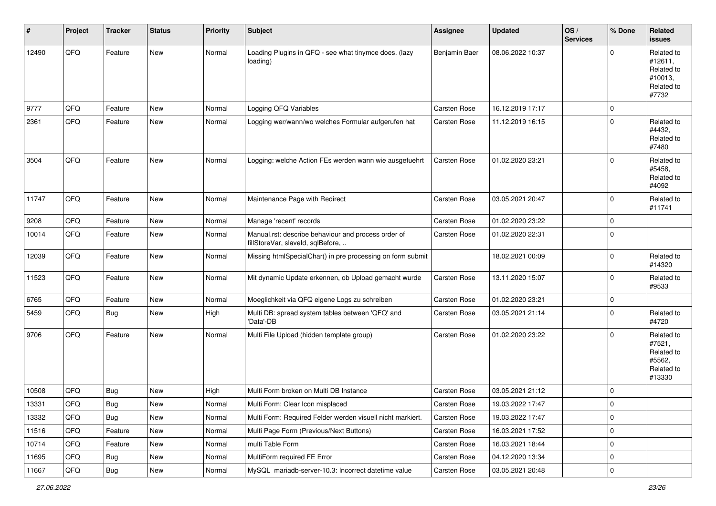| #     | Project | <b>Tracker</b> | <b>Status</b> | <b>Priority</b> | <b>Subject</b>                                                                           | <b>Assignee</b>     | <b>Updated</b>   | OS/<br><b>Services</b> | % Done      | Related<br><b>issues</b>                                              |
|-------|---------|----------------|---------------|-----------------|------------------------------------------------------------------------------------------|---------------------|------------------|------------------------|-------------|-----------------------------------------------------------------------|
| 12490 | QFQ     | Feature        | New           | Normal          | Loading Plugins in QFQ - see what tinymce does. (lazy<br>loading)                        | Benjamin Baer       | 08.06.2022 10:37 |                        | $\Omega$    | Related to<br>#12611,<br>Related to<br>#10013,<br>Related to<br>#7732 |
| 9777  | QFQ     | Feature        | <b>New</b>    | Normal          | Logging QFQ Variables                                                                    | <b>Carsten Rose</b> | 16.12.2019 17:17 |                        | $\mathbf 0$ |                                                                       |
| 2361  | QFQ     | Feature        | New           | Normal          | Logging wer/wann/wo welches Formular aufgerufen hat                                      | Carsten Rose        | 11.12.2019 16:15 |                        | $\mathbf 0$ | Related to<br>#4432,<br>Related to<br>#7480                           |
| 3504  | QFQ     | Feature        | New           | Normal          | Logging: welche Action FEs werden wann wie ausgefuehrt                                   | Carsten Rose        | 01.02.2020 23:21 |                        | $\mathbf 0$ | Related to<br>#5458,<br>Related to<br>#4092                           |
| 11747 | QFQ     | Feature        | New           | Normal          | Maintenance Page with Redirect                                                           | Carsten Rose        | 03.05.2021 20:47 |                        | $\mathbf 0$ | Related to<br>#11741                                                  |
| 9208  | QFQ     | Feature        | New           | Normal          | Manage 'recent' records                                                                  | Carsten Rose        | 01.02.2020 23:22 |                        | $\mathbf 0$ |                                                                       |
| 10014 | QFQ     | Feature        | New           | Normal          | Manual.rst: describe behaviour and process order of<br>fillStoreVar, slaveId, sqlBefore, | Carsten Rose        | 01.02.2020 22:31 |                        | $\mathbf 0$ |                                                                       |
| 12039 | QFQ     | Feature        | New           | Normal          | Missing htmlSpecialChar() in pre processing on form submit                               |                     | 18.02.2021 00:09 |                        | $\mathbf 0$ | Related to<br>#14320                                                  |
| 11523 | QFQ     | Feature        | New           | Normal          | Mit dynamic Update erkennen, ob Upload gemacht wurde                                     | Carsten Rose        | 13.11.2020 15:07 |                        | $\mathbf 0$ | Related to<br>#9533                                                   |
| 6765  | QFQ     | Feature        | New           | Normal          | Moeglichkeit via QFQ eigene Logs zu schreiben                                            | Carsten Rose        | 01.02.2020 23:21 |                        | $\mathbf 0$ |                                                                       |
| 5459  | QFQ     | Bug            | New           | High            | Multi DB: spread system tables between 'QFQ' and<br>'Data'-DB                            | Carsten Rose        | 03.05.2021 21:14 |                        | $\mathbf 0$ | Related to<br>#4720                                                   |
| 9706  | QFQ     | Feature        | New           | Normal          | Multi File Upload (hidden template group)                                                | Carsten Rose        | 01.02.2020 23:22 |                        | $\Omega$    | Related to<br>#7521,<br>Related to<br>#5562,<br>Related to<br>#13330  |
| 10508 | QFQ     | <b>Bug</b>     | New           | High            | Multi Form broken on Multi DB Instance                                                   | Carsten Rose        | 03.05.2021 21:12 |                        | $\mathbf 0$ |                                                                       |
| 13331 | QFQ     | Bug            | New           | Normal          | Multi Form: Clear Icon misplaced                                                         | Carsten Rose        | 19.03.2022 17:47 |                        | $\mathbf 0$ |                                                                       |
| 13332 | QFQ     | Bug            | New           | Normal          | Multi Form: Required Felder werden visuell nicht markiert.                               | Carsten Rose        | 19.03.2022 17:47 |                        | $\mathbf 0$ |                                                                       |
| 11516 | QFQ     | Feature        | New           | Normal          | Multi Page Form (Previous/Next Buttons)                                                  | Carsten Rose        | 16.03.2021 17:52 |                        | $\mathbf 0$ |                                                                       |
| 10714 | QFQ     | Feature        | New           | Normal          | multi Table Form                                                                         | Carsten Rose        | 16.03.2021 18:44 |                        | 0           |                                                                       |
| 11695 | QFQ     | Bug            | New           | Normal          | MultiForm required FE Error                                                              | Carsten Rose        | 04.12.2020 13:34 |                        | 0           |                                                                       |
| 11667 | QFQ     | <b>Bug</b>     | New           | Normal          | MySQL mariadb-server-10.3: Incorrect datetime value                                      | Carsten Rose        | 03.05.2021 20:48 |                        | $\mathbf 0$ |                                                                       |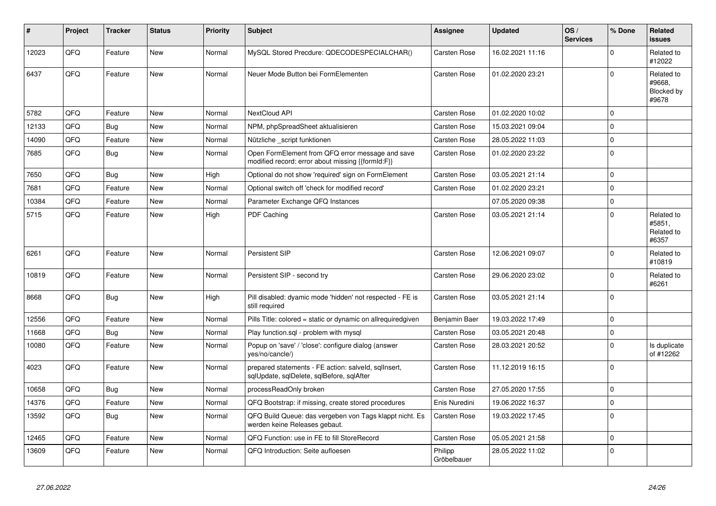| #     | Project | <b>Tracker</b> | <b>Status</b> | <b>Priority</b> | <b>Subject</b>                                                                                        | Assignee               | <b>Updated</b>   | OS/<br><b>Services</b> | % Done   | <b>Related</b><br><b>issues</b>                    |
|-------|---------|----------------|---------------|-----------------|-------------------------------------------------------------------------------------------------------|------------------------|------------------|------------------------|----------|----------------------------------------------------|
| 12023 | QFQ     | Feature        | New           | Normal          | MySQL Stored Precdure: QDECODESPECIALCHAR()                                                           | <b>Carsten Rose</b>    | 16.02.2021 11:16 |                        | $\Omega$ | Related to<br>#12022                               |
| 6437  | QFQ     | Feature        | New           | Normal          | Neuer Mode Button bei FormElementen                                                                   | Carsten Rose           | 01.02.2020 23:21 |                        | $\Omega$ | Related to<br>#9668,<br><b>Blocked by</b><br>#9678 |
| 5782  | QFQ     | Feature        | <b>New</b>    | Normal          | <b>NextCloud API</b>                                                                                  | <b>Carsten Rose</b>    | 01.02.2020 10:02 |                        | $\Omega$ |                                                    |
| 12133 | QFQ     | Bug            | <b>New</b>    | Normal          | NPM, phpSpreadSheet aktualisieren                                                                     | Carsten Rose           | 15.03.2021 09:04 |                        | $\Omega$ |                                                    |
| 14090 | QFQ     | Feature        | New           | Normal          | Nützliche _script funktionen                                                                          | Carsten Rose           | 28.05.2022 11:03 |                        | $\Omega$ |                                                    |
| 7685  | QFQ     | Bug            | <b>New</b>    | Normal          | Open FormElement from QFQ error message and save<br>modified record: error about missing {{formId:F}} | <b>Carsten Rose</b>    | 01.02.2020 23:22 |                        | $\Omega$ |                                                    |
| 7650  | QFQ     | Bug            | <b>New</b>    | High            | Optional do not show 'required' sign on FormElement                                                   | Carsten Rose           | 03.05.2021 21:14 |                        | $\Omega$ |                                                    |
| 7681  | QFQ     | Feature        | <b>New</b>    | Normal          | Optional switch off 'check for modified record'                                                       | Carsten Rose           | 01.02.2020 23:21 |                        | $\Omega$ |                                                    |
| 10384 | QFQ     | Feature        | <b>New</b>    | Normal          | Parameter Exchange QFQ Instances                                                                      |                        | 07.05.2020 09:38 |                        | $\Omega$ |                                                    |
| 5715  | QFQ     | Feature        | New           | High            | <b>PDF Caching</b>                                                                                    | <b>Carsten Rose</b>    | 03.05.2021 21:14 |                        | $\Omega$ | Related to<br>#5851,<br>Related to<br>#6357        |
| 6261  | QFQ     | Feature        | <b>New</b>    | Normal          | Persistent SIP                                                                                        | <b>Carsten Rose</b>    | 12.06.2021 09:07 |                        | $\Omega$ | Related to<br>#10819                               |
| 10819 | QFQ     | Feature        | New           | Normal          | Persistent SIP - second try                                                                           | <b>Carsten Rose</b>    | 29.06.2020 23:02 |                        | $\Omega$ | Related to<br>#6261                                |
| 8668  | QFQ     | Bug            | <b>New</b>    | High            | Pill disabled: dyamic mode 'hidden' not respected - FE is<br>still required                           | Carsten Rose           | 03.05.2021 21:14 |                        | $\Omega$ |                                                    |
| 12556 | QFQ     | Feature        | <b>New</b>    | Normal          | Pills Title: colored = static or dynamic on allrequiredgiven                                          | Benjamin Baer          | 19.03.2022 17:49 |                        | $\Omega$ |                                                    |
| 11668 | QFQ     | <b>Bug</b>     | <b>New</b>    | Normal          | Play function.sql - problem with mysql                                                                | Carsten Rose           | 03.05.2021 20:48 |                        | $\Omega$ |                                                    |
| 10080 | QFQ     | Feature        | <b>New</b>    | Normal          | Popup on 'save' / 'close': configure dialog (answer<br>yes/no/cancle/)                                | Carsten Rose           | 28.03.2021 20:52 |                        | $\Omega$ | Is duplicate<br>of #12262                          |
| 4023  | QFQ     | Feature        | <b>New</b>    | Normal          | prepared statements - FE action: salveld, sqllnsert,<br>sqlUpdate, sqlDelete, sqlBefore, sqlAfter     | Carsten Rose           | 11.12.2019 16:15 |                        | $\Omega$ |                                                    |
| 10658 | QFQ     | <b>Bug</b>     | <b>New</b>    | Normal          | processReadOnly broken                                                                                | Carsten Rose           | 27.05.2020 17:55 |                        | $\Omega$ |                                                    |
| 14376 | QFQ     | Feature        | <b>New</b>    | Normal          | QFQ Bootstrap: if missing, create stored procedures                                                   | Enis Nuredini          | 19.06.2022 16:37 |                        | $\Omega$ |                                                    |
| 13592 | QFQ     | <b>Bug</b>     | <b>New</b>    | Normal          | QFQ Build Queue: das vergeben von Tags klappt nicht. Es<br>werden keine Releases gebaut.              | <b>Carsten Rose</b>    | 19.03.2022 17:45 |                        | $\Omega$ |                                                    |
| 12465 | QFQ     | Feature        | New           | Normal          | QFQ Function: use in FE to fill StoreRecord                                                           | <b>Carsten Rose</b>    | 05.05.2021 21:58 |                        | $\Omega$ |                                                    |
| 13609 | QFQ     | Feature        | New           | Normal          | QFQ Introduction: Seite aufloesen                                                                     | Philipp<br>Gröbelbauer | 28.05.2022 11:02 |                        | $\Omega$ |                                                    |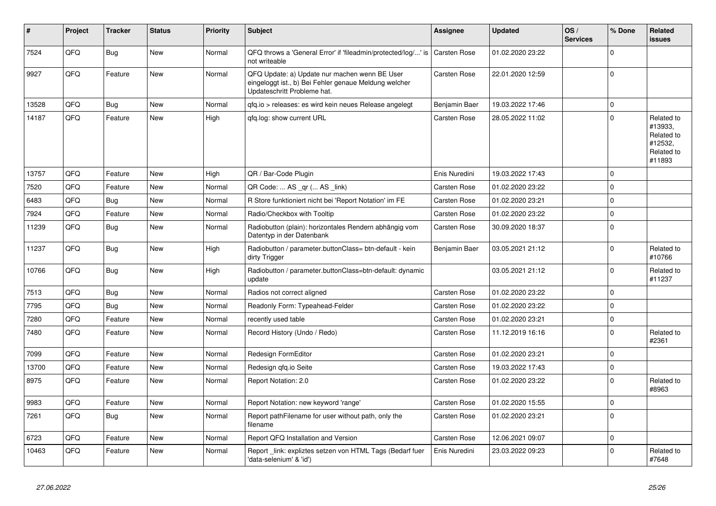| #     | Project | <b>Tracker</b> | <b>Status</b> | <b>Priority</b> | <b>Subject</b>                                                                                                                        | <b>Assignee</b>     | <b>Updated</b>   | OS/<br><b>Services</b> | % Done      | Related<br>issues                                                      |
|-------|---------|----------------|---------------|-----------------|---------------------------------------------------------------------------------------------------------------------------------------|---------------------|------------------|------------------------|-------------|------------------------------------------------------------------------|
| 7524  | QFQ     | <b>Bug</b>     | <b>New</b>    | Normal          | QFQ throws a 'General Error' if 'fileadmin/protected/log/' is<br>not writeable                                                        | <b>Carsten Rose</b> | 01.02.2020 23:22 |                        | $\Omega$    |                                                                        |
| 9927  | QFQ     | Feature        | New           | Normal          | QFQ Update: a) Update nur machen wenn BE User<br>eingeloggt ist., b) Bei Fehler genaue Meldung welcher<br>Updateschritt Probleme hat. | <b>Carsten Rose</b> | 22.01.2020 12:59 |                        | $\mathbf 0$ |                                                                        |
| 13528 | QFQ     | Bug            | <b>New</b>    | Normal          | gfg.io > releases: es wird kein neues Release angelegt                                                                                | Benjamin Baer       | 19.03.2022 17:46 |                        | $\Omega$    |                                                                        |
| 14187 | QFQ     | Feature        | New           | High            | qfq.log: show current URL                                                                                                             | <b>Carsten Rose</b> | 28.05.2022 11:02 |                        | $\mathbf 0$ | Related to<br>#13933.<br>Related to<br>#12532,<br>Related to<br>#11893 |
| 13757 | QFQ     | Feature        | <b>New</b>    | High            | QR / Bar-Code Plugin                                                                                                                  | Enis Nuredini       | 19.03.2022 17:43 |                        | $\mathbf 0$ |                                                                        |
| 7520  | QFQ     | Feature        | <b>New</b>    | Normal          | QR Code:  AS _qr ( AS _link)                                                                                                          | <b>Carsten Rose</b> | 01.02.2020 23:22 |                        | $\Omega$    |                                                                        |
| 6483  | QFQ     | Bug            | <b>New</b>    | Normal          | R Store funktioniert nicht bei 'Report Notation' im FE                                                                                | <b>Carsten Rose</b> | 01.02.2020 23:21 |                        | $\mathbf 0$ |                                                                        |
| 7924  | QFQ     | Feature        | <b>New</b>    | Normal          | Radio/Checkbox with Tooltip                                                                                                           | Carsten Rose        | 01.02.2020 23:22 |                        | $\mathbf 0$ |                                                                        |
| 11239 | QFQ     | <b>Bug</b>     | <b>New</b>    | Normal          | Radiobutton (plain): horizontales Rendern abhängig vom<br>Datentyp in der Datenbank                                                   | Carsten Rose        | 30.09.2020 18:37 |                        | $\mathbf 0$ |                                                                        |
| 11237 | QFQ     | Bug            | New           | High            | Radiobutton / parameter.buttonClass= btn-default - kein<br>dirty Trigger                                                              | Benjamin Baer       | 03.05.2021 21:12 |                        | $\mathbf 0$ | Related to<br>#10766                                                   |
| 10766 | QFQ     | <b>Bug</b>     | New           | High            | Radiobutton / parameter.buttonClass=btn-default: dynamic<br>update                                                                    |                     | 03.05.2021 21:12 |                        | $\mathbf 0$ | Related to<br>#11237                                                   |
| 7513  | QFQ     | <b>Bug</b>     | <b>New</b>    | Normal          | Radios not correct aligned                                                                                                            | <b>Carsten Rose</b> | 01.02.2020 23:22 |                        | $\mathbf 0$ |                                                                        |
| 7795  | QFQ     | <b>Bug</b>     | <b>New</b>    | Normal          | Readonly Form: Typeahead-Felder                                                                                                       | <b>Carsten Rose</b> | 01.02.2020 23:22 |                        | $\mathbf 0$ |                                                                        |
| 7280  | QFQ     | Feature        | <b>New</b>    | Normal          | recently used table                                                                                                                   | <b>Carsten Rose</b> | 01.02.2020 23:21 |                        | $\mathbf 0$ |                                                                        |
| 7480  | QFQ     | Feature        | New           | Normal          | Record History (Undo / Redo)                                                                                                          | <b>Carsten Rose</b> | 11.12.2019 16:16 |                        | $\Omega$    | Related to<br>#2361                                                    |
| 7099  | QFQ     | Feature        | <b>New</b>    | Normal          | Redesign FormEditor                                                                                                                   | <b>Carsten Rose</b> | 01.02.2020 23:21 |                        | $\mathbf 0$ |                                                                        |
| 13700 | QFQ     | Feature        | <b>New</b>    | Normal          | Redesign gfg.io Seite                                                                                                                 | Carsten Rose        | 19.03.2022 17:43 |                        | $\mathbf 0$ |                                                                        |
| 8975  | QFQ     | Feature        | <b>New</b>    | Normal          | Report Notation: 2.0                                                                                                                  | Carsten Rose        | 01.02.2020 23:22 |                        | $\mathbf 0$ | Related to<br>#8963                                                    |
| 9983  | QFQ     | Feature        | <b>New</b>    | Normal          | Report Notation: new keyword 'range'                                                                                                  | <b>Carsten Rose</b> | 01.02.2020 15:55 |                        | $\mathbf 0$ |                                                                        |
| 7261  | QFQ     | Bug            | New           | Normal          | Report pathFilename for user without path, only the<br>filename                                                                       | Carsten Rose        | 01.02.2020 23:21 |                        | $\Omega$    |                                                                        |
| 6723  | QFQ     | Feature        | <b>New</b>    | Normal          | Report QFQ Installation and Version                                                                                                   | <b>Carsten Rose</b> | 12.06.2021 09:07 |                        | $\mathbf 0$ |                                                                        |
| 10463 | QFQ     | Feature        | New           | Normal          | Report_link: expliztes setzen von HTML Tags (Bedarf fuer<br>'data-selenium' & 'id')                                                   | Enis Nuredini       | 23.03.2022 09:23 |                        | $\Omega$    | Related to<br>#7648                                                    |